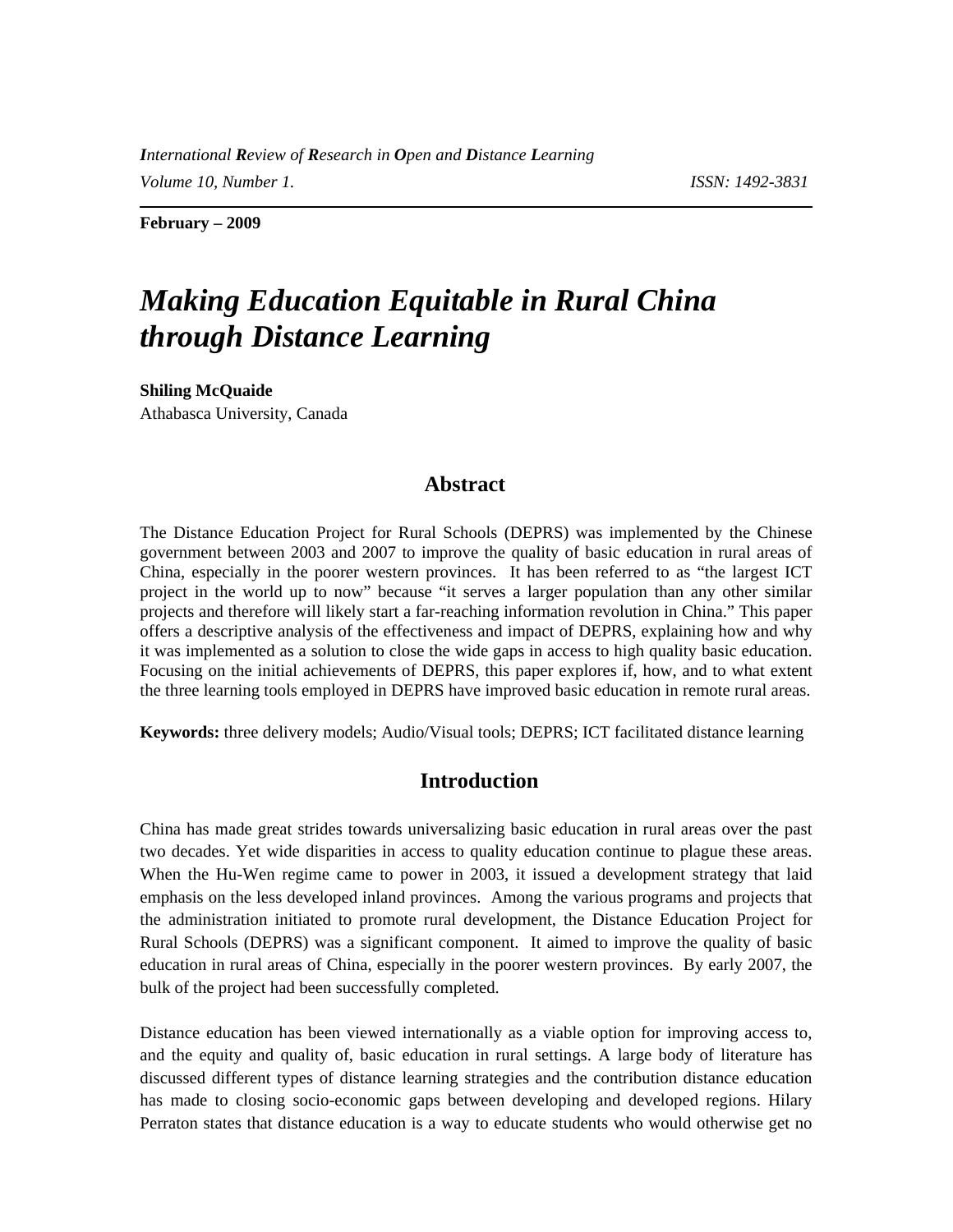**February – 2009** 

# *Making Education Equitable in Rural China through Distance Learning*

**Shiling McQuaide**  Athabasca University, Canada

### **Abstract**

The Distance Education Project for Rural Schools (DEPRS) was implemented by the Chinese government between 2003 and 2007 to improve the quality of basic education in rural areas of China, especially in the poorer western provinces. It has been referred to as "the largest ICT project in the world up to now" because "it serves a larger population than any other similar projects and therefore will likely start a far-reaching information revolution in China." This paper offers a descriptive analysis of the effectiveness and impact of DEPRS, explaining how and why it was implemented as a solution to close the wide gaps in access to high quality basic education. Focusing on the initial achievements of DEPRS, this paper explores if, how, and to what extent the three learning tools employed in DEPRS have improved basic education in remote rural areas.

**Keywords:** three delivery models; Audio/Visual tools; DEPRS; ICT facilitated distance learning

### **Introduction**

China has made great strides towards universalizing basic education in rural areas over the past two decades. Yet wide disparities in access to quality education continue to plague these areas. When the Hu-Wen regime came to power in 2003, it issued a development strategy that laid emphasis on the less developed inland provinces. Among the various programs and projects that the administration initiated to promote rural development, the Distance Education Project for Rural Schools (DEPRS) was a significant component. It aimed to improve the quality of basic education in rural areas of China, especially in the poorer western provinces. By early 2007, the bulk of the project had been successfully completed.

Distance education has been viewed internationally as a viable option for improving access to, and the equity and quality of, basic education in rural settings. A large body of literature has discussed different types of distance learning strategies and the contribution distance education has made to closing socio-economic gaps between developing and developed regions. Hilary Perraton states that distance education is a way to educate students who would otherwise get no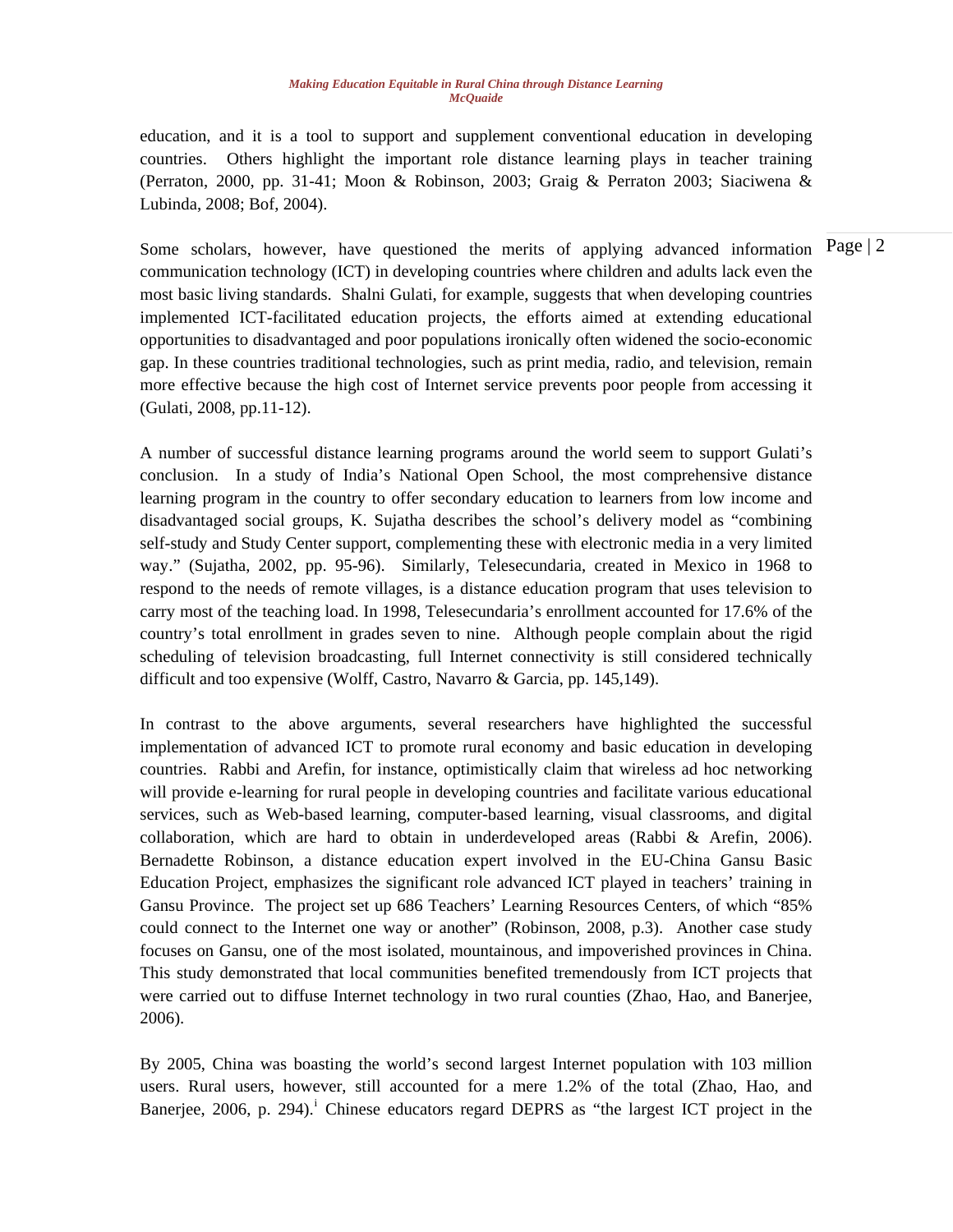education, and it is a tool to support and supplement conventional education in developing countries. Others highlight the important role distance learning plays in teacher training (Perraton, 2000, pp. 31-41; Moon & Robinson, 2003; Graig & Perraton 2003; Siaciwena & Lubinda, 2008; Bof, 2004).

Some scholars, however, have questioned the merits of applying advanced information Page  $|2|$ communication technology (ICT) in developing countries where children and adults lack even the most basic living standards. Shalni Gulati, for example, suggests that when developing countries implemented ICT-facilitated education projects, the efforts aimed at extending educational opportunities to disadvantaged and poor populations ironically often widened the socio-economic gap. In these countries traditional technologies, such as print media, radio, and television, remain more effective because the high cost of Internet service prevents poor people from accessing it (Gulati, 2008, pp.11-12).

A number of successful distance learning programs around the world seem to support Gulati's conclusion. In a study of India's National Open School, the most comprehensive distance learning program in the country to offer secondary education to learners from low income and disadvantaged social groups, K. Sujatha describes the school's delivery model as "combining self-study and Study Center support, complementing these with electronic media in a very limited way." (Sujatha, 2002, pp. 95-96). Similarly, Telesecundaria, created in Mexico in 1968 to respond to the needs of remote villages, is a distance education program that uses television to carry most of the teaching load. In 1998, Telesecundaria's enrollment accounted for 17.6% of the country's total enrollment in grades seven to nine. Although people complain about the rigid scheduling of television broadcasting, full Internet connectivity is still considered technically difficult and too expensive (Wolff, Castro, Navarro & Garcia, pp. 145,149).

In contrast to the above arguments, several researchers have highlighted the successful implementation of advanced ICT to promote rural economy and basic education in developing countries. Rabbi and Arefin, for instance, optimistically claim that wireless ad hoc networking will provide e-learning for rural people in developing countries and facilitate various educational services, such as Web-based learning, computer-based learning, visual classrooms, and digital collaboration, which are hard to obtain in underdeveloped areas (Rabbi & Arefin, 2006). Bernadette Robinson, a distance education expert involved in the EU-China Gansu Basic Education Project, emphasizes the significant role advanced ICT played in teachers' training in Gansu Province. The project set up 686 Teachers' Learning Resources Centers, of which "85% could connect to the Internet one way or another" (Robinson, 2008, p.3). Another case study focuses on Gansu, one of the most isolated, mountainous, and impoverished provinces in China. This study demonstrated that local communities benefited tremendously from ICT projects that were carried out to diffuse Internet technology in two rural counties (Zhao, Hao, and Banerjee, 2006).

By 2005, China was boasting the world's second largest Internet population with 103 million users. Rural users, however, still accounted for a mere 1.2% of the total (Zhao, Hao, and Banerjee, 2006, p. 294).<sup>[i](#page-19-0)</sup> Chinese educators regard DEPRS as "the largest ICT project in the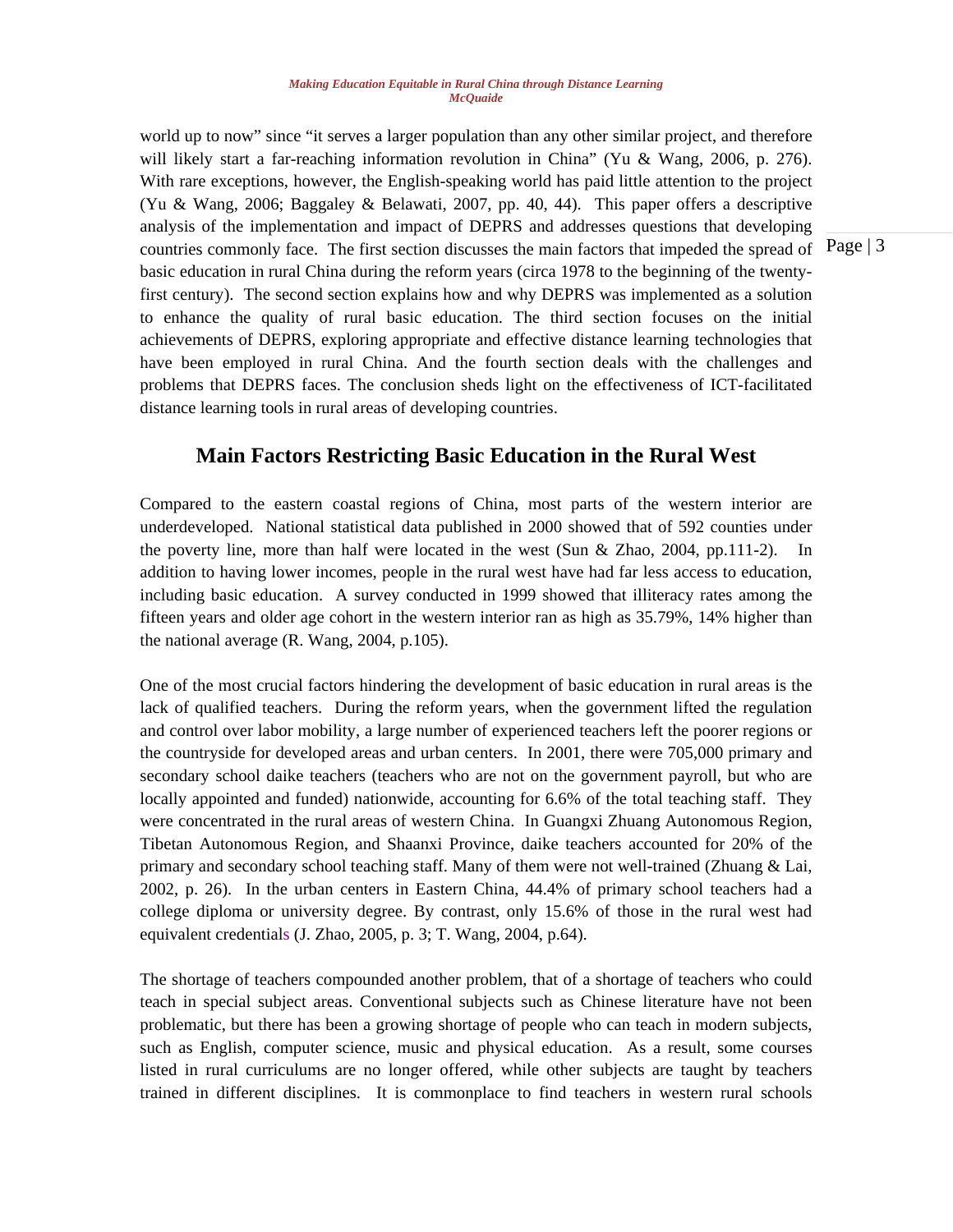countries commonly face. The first section discusses the main factors that impeded the spread of Page  $\vert 3 \rangle$ world up to now" since "it serves a larger population than any other similar project, and therefore will likely start a far-reaching information revolution in China" (Yu & Wang, 2006, p. 276). With rare exceptions, however, the English-speaking world has paid little attention to the project (Yu & Wang, 2006; Baggaley & Belawati, 2007, pp. 40, 44). This paper offers a descriptive analysis of the implementation and impact of DEPRS and addresses questions that developing basic education in rural China during the reform years (circa 1978 to the beginning of the twentyfirst century). The second section explains how and why DEPRS was implemented as a solution to enhance the quality of rural basic education. The third section focuses on the initial achievements of DEPRS, exploring appropriate and effective distance learning technologies that have been employed in rural China. And the fourth section deals with the challenges and problems that DEPRS faces. The conclusion sheds light on the effectiveness of ICT-facilitated distance learning tools in rural areas of developing countries.

### **Main Factors Restricting Basic Education in the Rural West**

Compared to the eastern coastal regions of China, most parts of the western interior are underdeveloped. National statistical data published in 2000 showed that of 592 counties under the poverty line, more than half were located in the west (Sun  $\&$  Zhao, 2004, pp.111-2). In addition to having lower incomes, people in the rural west have had far less access to education, including basic education. A survey conducted in 1999 showed that illiteracy rates among the fifteen years and older age cohort in the western interior ran as high as 35.79%, 14% higher than the national average (R. Wang, 2004, p.105).

One of the most crucial factors hindering the development of basic education in rural areas is the lack of qualified teachers. During the reform years, when the government lifted the regulation and control over labor mobility, a large number of experienced teachers left the poorer regions or the countryside for developed areas and urban centers. In 2001, there were 705,000 primary and secondary school daike teachers (teachers who are not on the government payroll, but who are locally appointed and funded) nationwide, accounting for 6.6% of the total teaching staff. They were concentrated in the rural areas of western China. In Guangxi Zhuang Autonomous Region, Tibetan Autonomous Region, and Shaanxi Province, daike teachers accounted for 20% of the primary and secondary school teaching staff. Many of them were not well-trained (Zhuang & Lai, 2002, p. 26). In the urban centers in Eastern China, 44.4% of primary school teachers had a college diploma or university degree. By contrast, only 15.6% of those in the rural west had equivalent credentials (J. Zhao, 2005, p. 3; T. Wang, 2004, p.64).

The shortage of teachers compounded another problem, that of a shortage of teachers who could teach in special subject areas. Conventional subjects such as Chinese literature have not been problematic, but there has been a growing shortage of people who can teach in modern subjects, such as English, computer science, music and physical education. As a result, some courses listed in rural curriculums are no longer offered, while other subjects are taught by teachers trained in different disciplines. It is commonplace to find teachers in western rural schools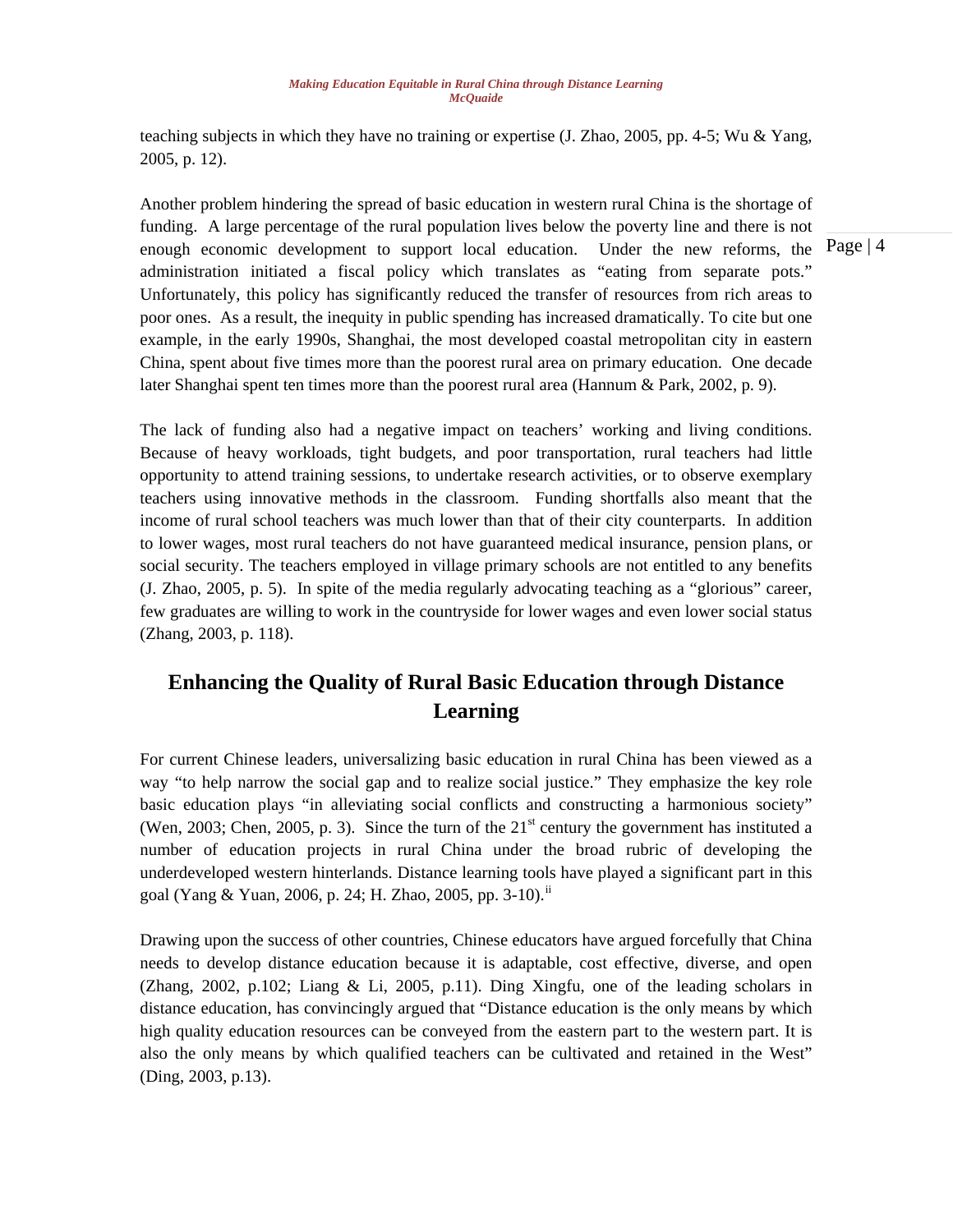teaching subjects in which they have no training or expertise (J. Zhao, 2005, pp. 4-5; Wu & Yang, 2005, p. 12).

enough economic development to support local education. Under the new reforms, the Page  $|4|$ Another problem hindering the spread of basic education in western rural China is the shortage of funding. A large percentage of the rural population lives below the poverty line and there is not administration initiated a fiscal policy which translates as "eating from separate pots." Unfortunately, this policy has significantly reduced the transfer of resources from rich areas to poor ones. As a result, the inequity in public spending has increased dramatically. To cite but one example, in the early 1990s, Shanghai, the most developed coastal metropolitan city in eastern China, spent about five times more than the poorest rural area on primary education. One decade later Shanghai spent ten times more than the poorest rural area (Hannum & Park, 2002, p. 9).

The lack of funding also had a negative impact on teachers' working and living conditions. Because of heavy workloads, tight budgets, and poor transportation, rural teachers had little opportunity to attend training sessions, to undertake research activities, or to observe exemplary teachers using innovative methods in the classroom. Funding shortfalls also meant that the income of rural school teachers was much lower than that of their city counterparts. In addition to lower wages, most rural teachers do not have guaranteed medical insurance, pension plans, or social security. The teachers employed in village primary schools are not entitled to any benefits (J. Zhao, 2005, p. 5). In spite of the media regularly advocating teaching as a "glorious" career, few graduates are willing to work in the countryside for lower wages and even lower social status (Zhang, 2003, p. 118).

## **Enhancing the Quality of Rural Basic Education through Distance Learning**

For current Chinese leaders, universalizing basic education in rural China has been viewed as a way "to help narrow the social gap and to realize social justice." They emphasize the key role basic education plays "in alleviating social conflicts and constructing a harmonious society" (Wen, 2003; Chen, 2005, p. 3). Since the turn of the  $21<sup>st</sup>$  century the government has instituted a number of education projects in rural China under the broad rubric of developing the underdeveloped western hinterlands. Distance learning tools have played a significant part in this goal (Yang & Yuan, 2006, p. 24; H. Zhao, 2005, pp. 3-10).<sup>[ii](#page-19-1)</sup>

Drawing upon the success of other countries, Chinese educators have argued forcefully that China needs to develop distance education because it is adaptable, cost effective, diverse, and open (Zhang, 2002, p.102; Liang & Li, 2005, p.11). Ding Xingfu, one of the leading scholars in distance education, has convincingly argued that "Distance education is the only means by which high quality education resources can be conveyed from the eastern part to the western part. It is also the only means by which qualified teachers can be cultivated and retained in the West" (Ding, 2003, p.13).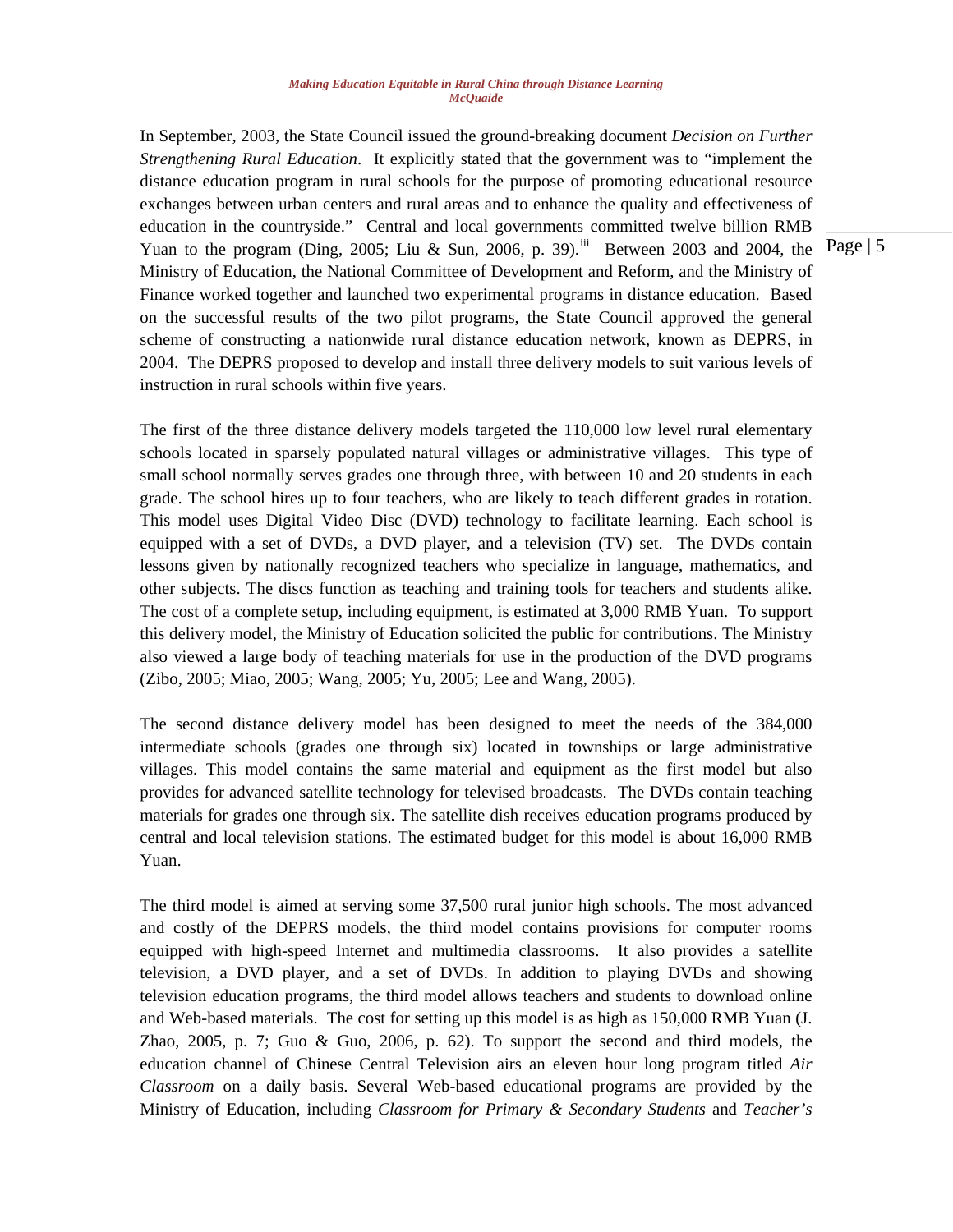Yuan to the program (Ding, 2005; Liu & Sun, 2006, p. 39).<sup>[iii](#page-19-1)</sup> Between 2003 and 2004, the Page | 5 In September, 2003, the State Council issued the ground-breaking document *Decision on Further Strengthening Rural Education*. It explicitly stated that the government was to "implement the distance education program in rural schools for the purpose of promoting educational resource exchanges between urban centers and rural areas and to enhance the quality and effectiveness of education in the countryside." Central and local governments committed twelve billion RMB Ministry of Education, the National Committee of Development and Reform, and the Ministry of Finance worked together and launched two experimental programs in distance education. Based on the successful results of the two pilot programs, the State Council approved the general scheme of constructing a nationwide rural distance education network, known as DEPRS, in 2004. The DEPRS proposed to develop and install three delivery models to suit various levels of instruction in rural schools within five years.

The first of the three distance delivery models targeted the 110,000 low level rural elementary schools located in sparsely populated natural villages or administrative villages. This type of small school normally serves grades one through three, with between 10 and 20 students in each grade. The school hires up to four teachers, who are likely to teach different grades in rotation. This model uses Digital Video Disc (DVD) technology to facilitate learning. Each school is equipped with a set of DVDs, a DVD player, and a television (TV) set. The DVDs contain lessons given by nationally recognized teachers who specialize in language, mathematics, and other subjects. The discs function as teaching and training tools for teachers and students alike. The cost of a complete setup, including equipment, is estimated at 3,000 RMB Yuan. To support this delivery model, the Ministry of Education solicited the public for contributions. The Ministry also viewed a large body of teaching materials for use in the production of the DVD programs (Zibo, 2005; Miao, 2005; Wang, 2005; Yu, 2005; Lee and Wang, 2005).

The second distance delivery model has been designed to meet the needs of the 384,000 intermediate schools (grades one through six) located in townships or large administrative villages. This model contains the same material and equipment as the first model but also provides for advanced satellite technology for televised broadcasts. The DVDs contain teaching materials for grades one through six. The satellite dish receives education programs produced by central and local television stations. The estimated budget for this model is about 16,000 RMB Yuan.

The third model is aimed at serving some 37,500 rural junior high schools. The most advanced and costly of the DEPRS models, the third model contains provisions for computer rooms equipped with high-speed Internet and multimedia classrooms. It also provides a satellite television, a DVD player, and a set of DVDs. In addition to playing DVDs and showing television education programs, the third model allows teachers and students to download online and Web-based materials. The cost for setting up this model is as high as 150,000 RMB Yuan (J. Zhao, 2005, p. 7; Guo & Guo, 2006, p. 62). To support the second and third models, the education channel of Chinese Central Television airs an eleven hour long program titled *Air Classroom* on a daily basis. Several Web-based educational programs are provided by the Ministry of Education, including *Classroom for Primary & Secondary Students* and *Teacher's*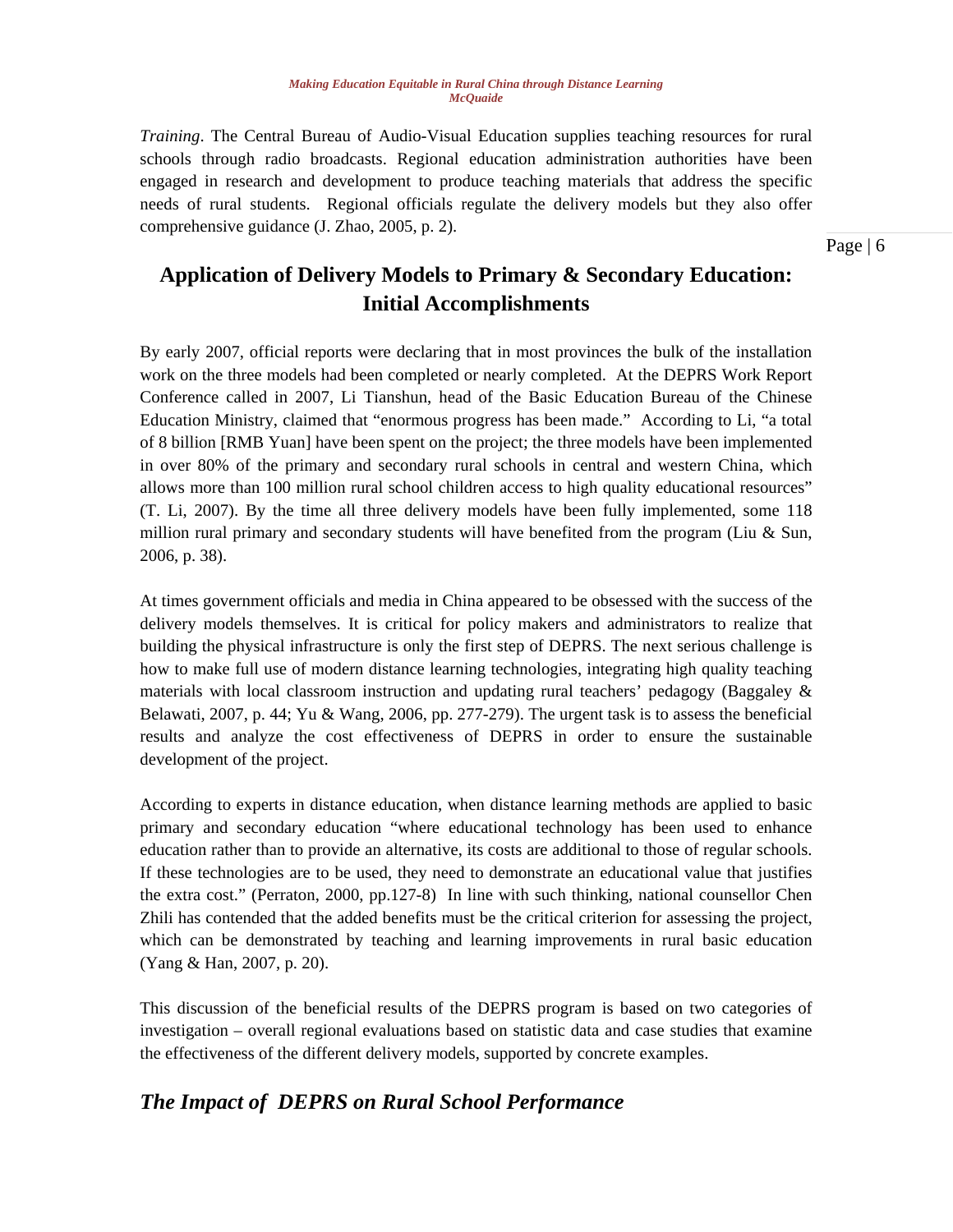*Training*. The Central Bureau of Audio-Visual Education supplies teaching resources for rural schools through radio broadcasts. Regional education administration authorities have been engaged in research and development to produce teaching materials that address the specific needs of rural students. Regional officials regulate the delivery models but they also offer comprehensive guidance (J. Zhao, 2005, p. 2).

Page | 6

## **Application of Delivery Models to Primary & Secondary Education: Initial Accomplishments**

By early 2007, official reports were declaring that in most provinces the bulk of the installation work on the three models had been completed or nearly completed. At the DEPRS Work Report Conference called in 2007, Li Tianshun, head of the Basic Education Bureau of the Chinese Education Ministry, claimed that "enormous progress has been made." According to Li, "a total of 8 billion [RMB Yuan] have been spent on the project; the three models have been implemented in over 80% of the primary and secondary rural schools in central and western China, which allows more than 100 million rural school children access to high quality educational resources" (T. Li, 2007). By the time all three delivery models have been fully implemented, some 118 million rural primary and secondary students will have benefited from the program (Liu  $\&$  Sun, 2006, p. 38).

At times government officials and media in China appeared to be obsessed with the success of the delivery models themselves. It is critical for policy makers and administrators to realize that building the physical infrastructure is only the first step of DEPRS. The next serious challenge is how to make full use of modern distance learning technologies, integrating high quality teaching materials with local classroom instruction and updating rural teachers' pedagogy (Baggaley & Belawati, 2007, p. 44; Yu & Wang, 2006, pp. 277-279). The urgent task is to assess the beneficial results and analyze the cost effectiveness of DEPRS in order to ensure the sustainable development of the project.

According to experts in distance education, when distance learning methods are applied to basic primary and secondary education "where educational technology has been used to enhance education rather than to provide an alternative, its costs are additional to those of regular schools. If these technologies are to be used, they need to demonstrate an educational value that justifies the extra cost." (Perraton, 2000, pp.127-8) In line with such thinking, national counsellor Chen Zhili has contended that the added benefits must be the critical criterion for assessing the project, which can be demonstrated by teaching and learning improvements in rural basic education (Yang & Han, 2007, p. 20).

This discussion of the beneficial results of the DEPRS program is based on two categories of investigation – overall regional evaluations based on statistic data and case studies that examine the effectiveness of the different delivery models, supported by concrete examples.

### *The Impact of DEPRS on Rural School Performance*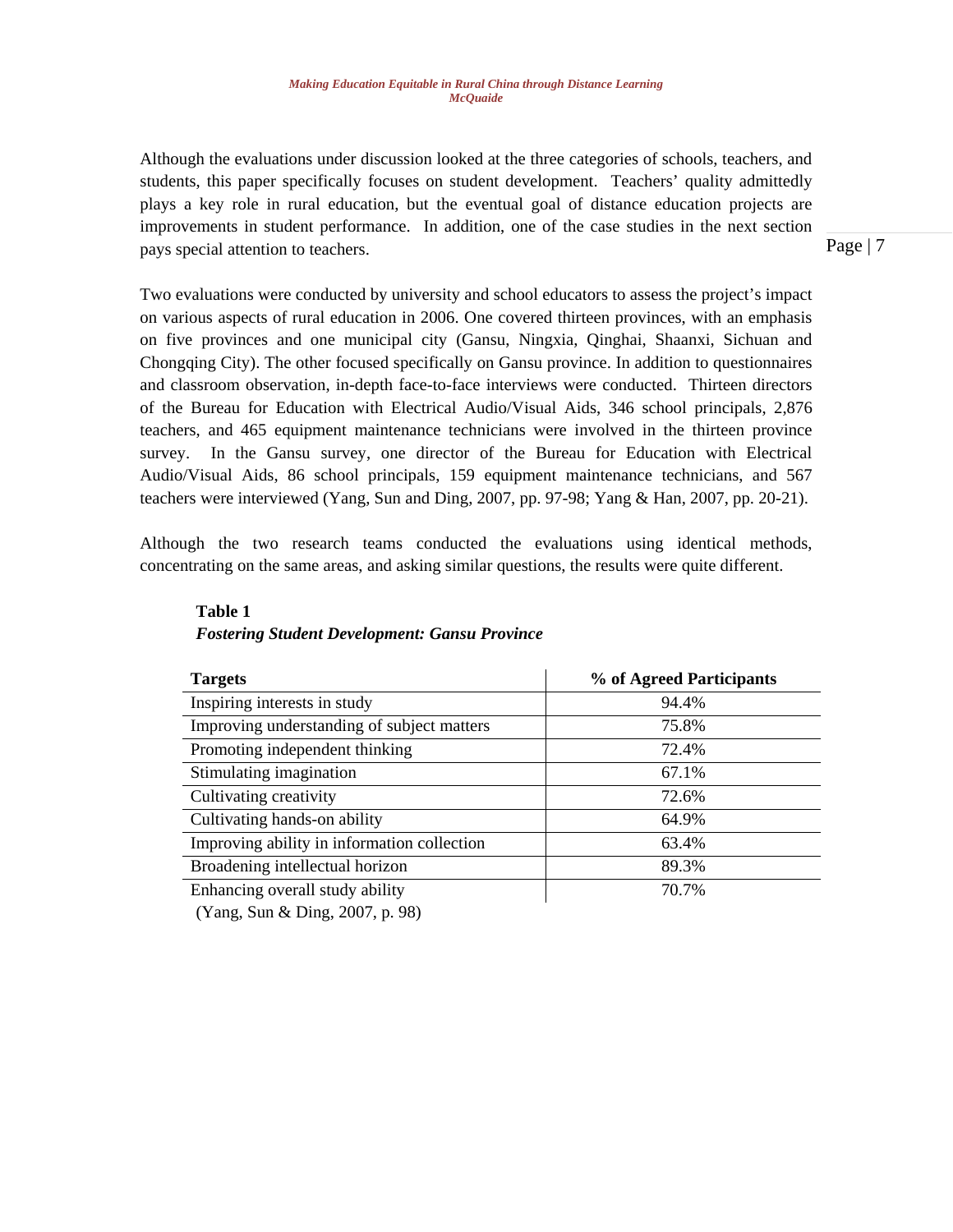Although the evaluations under discussion looked at the three categories of schools, teachers, and students, this paper specifically focuses on student development. Teachers' quality admittedly plays a key role in rural education, but the eventual goal of distance education projects are improvements in student performance. In addition, one of the case studies in the next section pays special attention to teachers.

Page | 7

Two evaluations were conducted by university and school educators to assess the project's impact on various aspects of rural education in 2006. One covered thirteen provinces, with an emphasis on five provinces and one municipal city (Gansu, Ningxia, Qinghai, Shaanxi, Sichuan and Chongqing City). The other focused specifically on Gansu province. In addition to questionnaires and classroom observation, in-depth face-to-face interviews were conducted. Thirteen directors of the Bureau for Education with Electrical Audio/Visual Aids, 346 school principals, 2,876 teachers, and 465 equipment maintenance technicians were involved in the thirteen province survey. In the Gansu survey, one director of the Bureau for Education with Electrical Audio/Visual Aids, 86 school principals, 159 equipment maintenance technicians, and 567 teachers were interviewed (Yang, Sun and Ding, 2007, pp. 97-98; Yang & Han, 2007, pp. 20-21).

Although the two research teams conducted the evaluations using identical methods, concentrating on the same areas, and asking similar questions, the results were quite different.

| <b>Targets</b>                              | % of Agreed Participants |
|---------------------------------------------|--------------------------|
| Inspiring interests in study                | 94.4%                    |
| Improving understanding of subject matters  | 75.8%                    |
| Promoting independent thinking              | 72.4%                    |
| Stimulating imagination                     | 67.1%                    |
| Cultivating creativity                      | 72.6%                    |
| Cultivating hands-on ability                | 64.9%                    |
| Improving ability in information collection | 63.4%                    |
| Broadening intellectual horizon             | 89.3%                    |
| Enhancing overall study ability             | 70.7%                    |

### **Table 1**  *Fostering Student Development: Gansu Province*

(Yang, Sun & Ding, 2007, p. 98)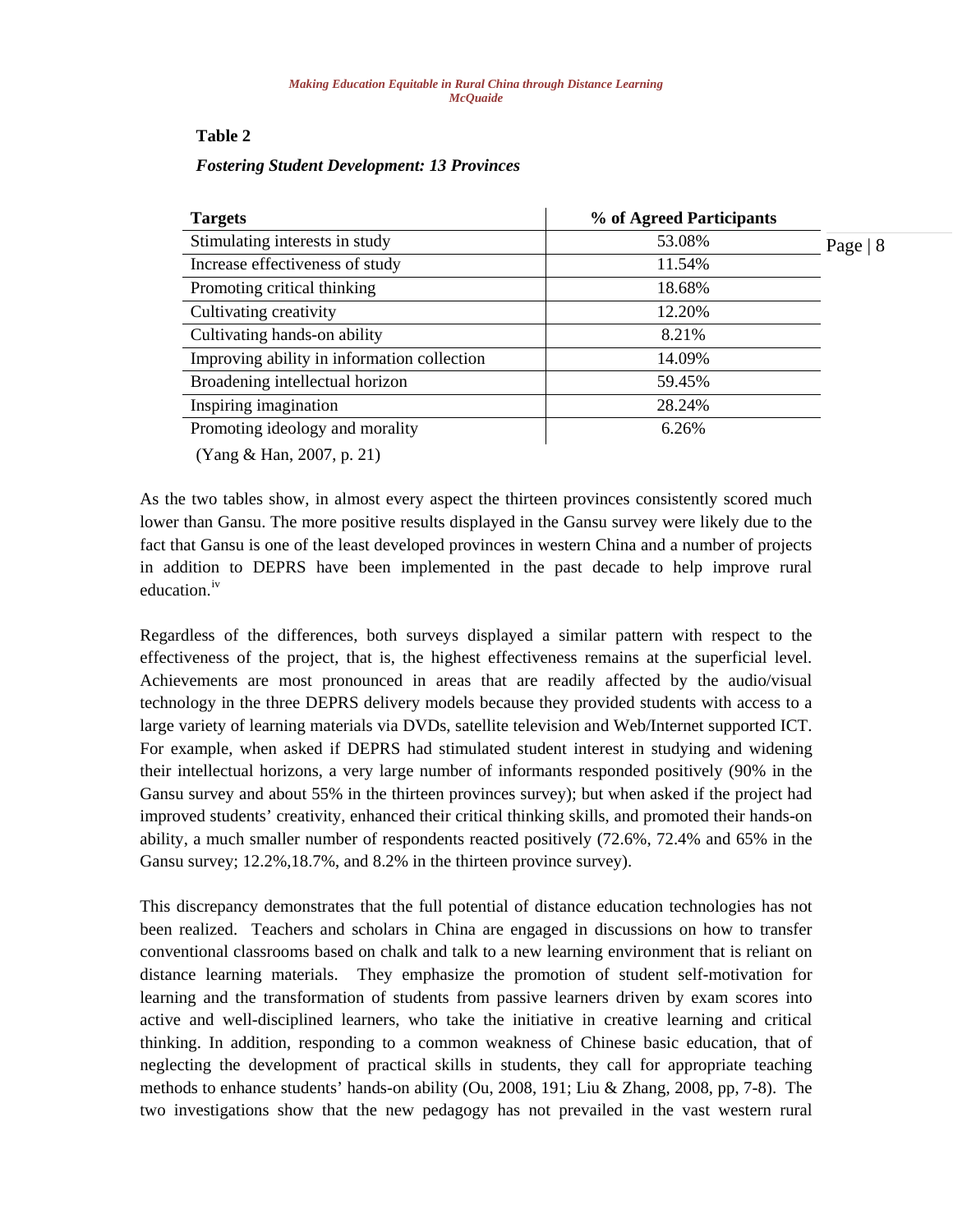#### **Table 2**

#### *Fostering Student Development: 13 Provinces*

| <b>Targets</b>                              | % of Agreed Participants |           |
|---------------------------------------------|--------------------------|-----------|
| Stimulating interests in study              | 53.08%                   | Page $ 8$ |
| Increase effectiveness of study             | 11.54%                   |           |
| Promoting critical thinking                 | 18.68%                   |           |
| Cultivating creativity                      | 12.20%                   |           |
| Cultivating hands-on ability                | 8.21%                    |           |
| Improving ability in information collection | 14.09%                   |           |
| Broadening intellectual horizon             | 59.45%                   |           |
| Inspiring imagination                       | 28.24%                   |           |
| Promoting ideology and morality             | 6.26%                    |           |

(Yang & Han, 2007, p. 21)

As the two tables show, in almost every aspect the thirteen provinces consistently scored much lower than Gansu. The more positive results displayed in the Gansu survey were likely due to the fact that Gansu is one of the least developed provinces in western China and a number of projects in addition to DEPRS have been implemented in the past decade to help improve rural education.<sup>[iv](#page-19-1)</sup>

Regardless of the differences, both surveys displayed a similar pattern with respect to the effectiveness of the project, that is, the highest effectiveness remains at the superficial level. Achievements are most pronounced in areas that are readily affected by the audio/visual technology in the three DEPRS delivery models because they provided students with access to a large variety of learning materials via DVDs, satellite television and Web/Internet supported ICT. For example, when asked if DEPRS had stimulated student interest in studying and widening their intellectual horizons, a very large number of informants responded positively (90% in the Gansu survey and about 55% in the thirteen provinces survey); but when asked if the project had improved students' creativity, enhanced their critical thinking skills, and promoted their hands-on ability, a much smaller number of respondents reacted positively (72.6%, 72.4% and 65% in the Gansu survey; 12.2%,18.7%, and 8.2% in the thirteen province survey).

This discrepancy demonstrates that the full potential of distance education technologies has not been realized. Teachers and scholars in China are engaged in discussions on how to transfer conventional classrooms based on chalk and talk to a new learning environment that is reliant on distance learning materials. They emphasize the promotion of student self-motivation for learning and the transformation of students from passive learners driven by exam scores into active and well-disciplined learners, who take the initiative in creative learning and critical thinking. In addition, responding to a common weakness of Chinese basic education, that of neglecting the development of practical skills in students, they call for appropriate teaching methods to enhance students' hands-on ability (Ou, 2008, 191; Liu & Zhang, 2008, pp, 7-8). The two investigations show that the new pedagogy has not prevailed in the vast western rural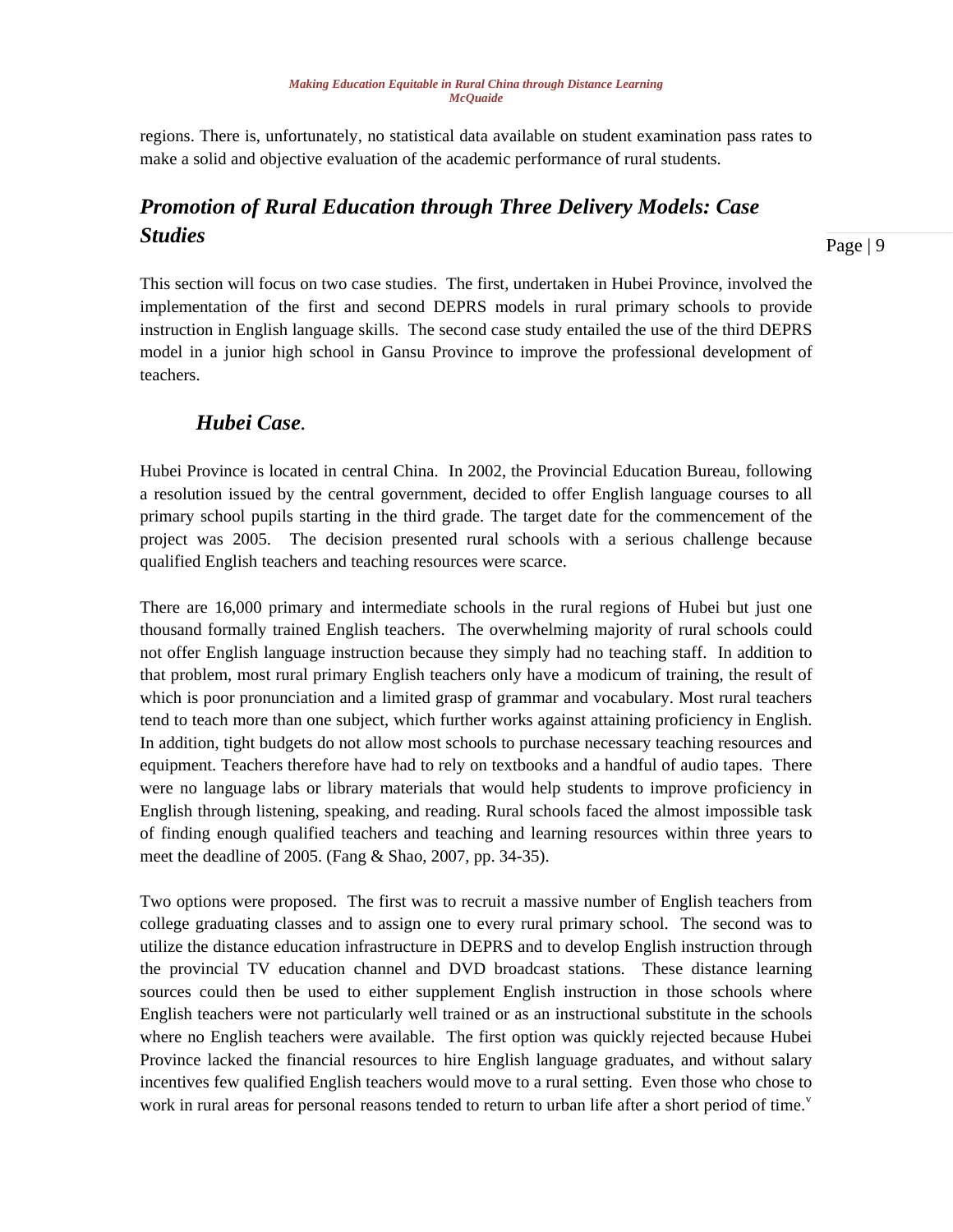regions. There is, unfortunately, no statistical data available on student examination pass rates to make a solid and objective evaluation of the academic performance of rural students.

## *Promotion of Rural Education through Three Delivery Models: Case Studies*

This section will focus on two case studies. The first, undertaken in Hubei Province, involved the implementation of the first and second DEPRS models in rural primary schools to provide instruction in English language skills. The second case study entailed the use of the third DEPRS model in a junior high school in Gansu Province to improve the professional development of teachers.

### *Hubei Case.*

Hubei Province is located in central China. In 2002, the Provincial Education Bureau, following a resolution issued by the central government, decided to offer English language courses to all primary school pupils starting in the third grade. The target date for the commencement of the project was 2005. The decision presented rural schools with a serious challenge because qualified English teachers and teaching resources were scarce.

There are 16,000 primary and intermediate schools in the rural regions of Hubei but just one thousand formally trained English teachers. The overwhelming majority of rural schools could not offer English language instruction because they simply had no teaching staff. In addition to that problem, most rural primary English teachers only have a modicum of training, the result of which is poor pronunciation and a limited grasp of grammar and vocabulary. Most rural teachers tend to teach more than one subject, which further works against attaining proficiency in English. In addition, tight budgets do not allow most schools to purchase necessary teaching resources and equipment. Teachers therefore have had to rely on textbooks and a handful of audio tapes. There were no language labs or library materials that would help students to improve proficiency in English through listening, speaking, and reading. Rural schools faced the almost impossible task of finding enough qualified teachers and teaching and learning resources within three years to meet the deadline of 2005. (Fang & Shao, 2007, pp. 34-35).

Two options were proposed. The first was to recruit a massive number of English teachers from college graduating classes and to assign one to every rural primary school. The second was to utilize the distance education infrastructure in DEPRS and to develop English instruction through the provincial TV education channel and DVD broadcast stations. These distance learning sources could then be used to either supplement English instruction in those schools where English teachers were not particularly well trained or as an instructional substitute in the schools where no English teachers were available. The first option was quickly rejected because Hubei Province lacked the financial resources to hire English language graduates, and without salary incentives few qualified English teachers would move to a rural setting. Even those who chose to work in rural areas for personal reasons tended to return to urban life after a short period of time.<sup>[v](#page-19-1)</sup>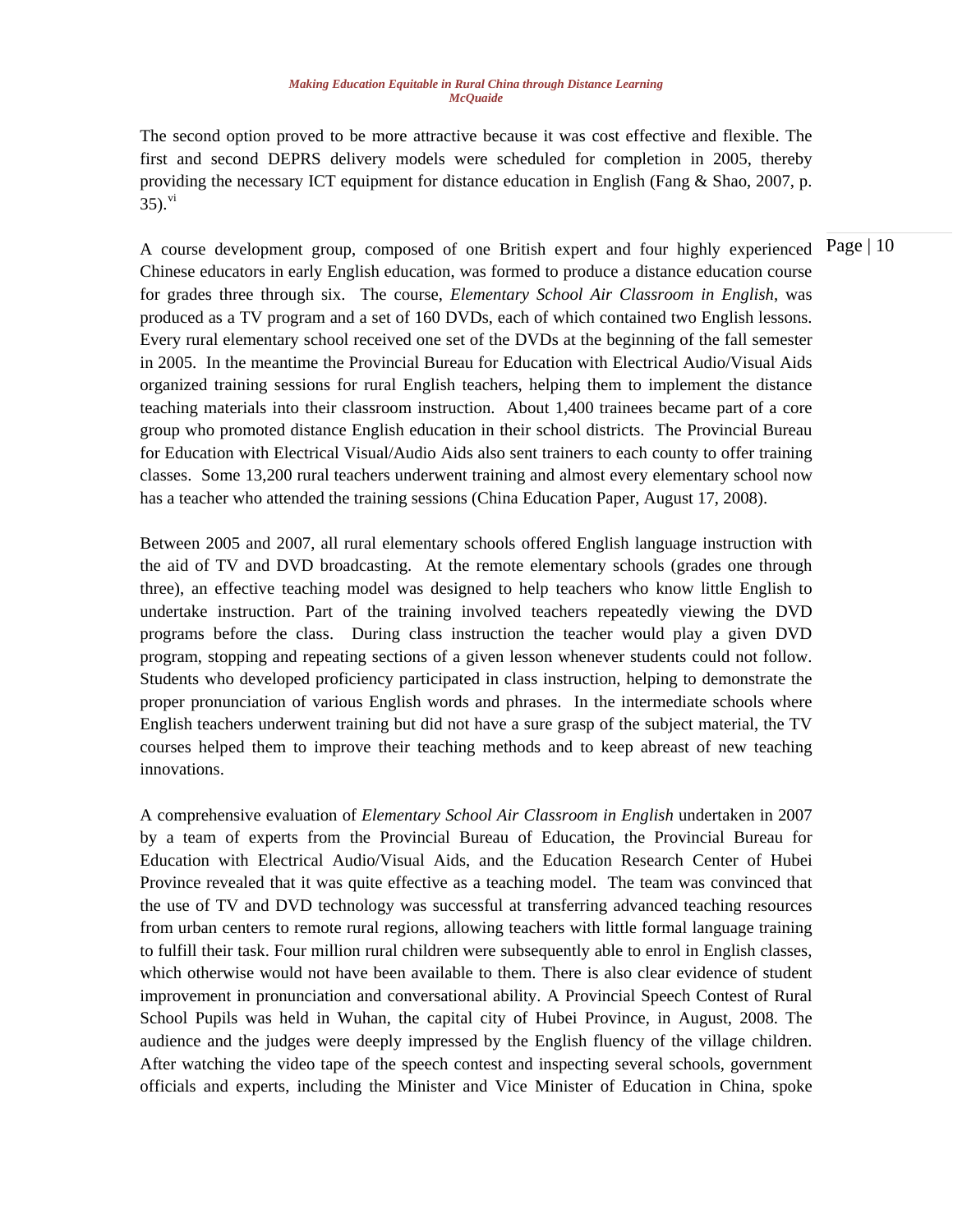The second option proved to be more attractive because it was cost effective and flexible. The first and second DEPRS delivery models were scheduled for completion in 2005, thereby providing the necessary ICT equipment for distance education in English (Fang & Shao, 2007, p. 35). $\frac{vi}{i}$  $\frac{vi}{i}$  $\frac{vi}{i}$ 

A course development group, composed of one British expert and four highly experienced Page | 10 Chinese educators in early English education, was formed to produce a distance education course for grades three through six. The course, *Elementary School Air Classroom in English*, was produced as a TV program and a set of 160 DVDs, each of which contained two English lessons. Every rural elementary school received one set of the DVDs at the beginning of the fall semester in 2005. In the meantime the Provincial Bureau for Education with Electrical Audio/Visual Aids organized training sessions for rural English teachers, helping them to implement the distance teaching materials into their classroom instruction. About 1,400 trainees became part of a core group who promoted distance English education in their school districts. The Provincial Bureau for Education with Electrical Visual/Audio Aids also sent trainers to each county to offer training classes. Some 13,200 rural teachers underwent training and almost every elementary school now has a teacher who attended the training sessions (China Education Paper, August 17, 2008).

Between 2005 and 2007, all rural elementary schools offered English language instruction with the aid of TV and DVD broadcasting. At the remote elementary schools (grades one through three), an effective teaching model was designed to help teachers who know little English to undertake instruction. Part of the training involved teachers repeatedly viewing the DVD programs before the class. During class instruction the teacher would play a given DVD program, stopping and repeating sections of a given lesson whenever students could not follow. Students who developed proficiency participated in class instruction, helping to demonstrate the proper pronunciation of various English words and phrases. In the intermediate schools where English teachers underwent training but did not have a sure grasp of the subject material, the TV courses helped them to improve their teaching methods and to keep abreast of new teaching innovations.

A comprehensive evaluation of *Elementary School Air Classroom in English* undertaken in 2007 by a team of experts from the Provincial Bureau of Education, the Provincial Bureau for Education with Electrical Audio/Visual Aids, and the Education Research Center of Hubei Province revealed that it was quite effective as a teaching model. The team was convinced that the use of TV and DVD technology was successful at transferring advanced teaching resources from urban centers to remote rural regions, allowing teachers with little formal language training to fulfill their task. Four million rural children were subsequently able to enrol in English classes, which otherwise would not have been available to them. There is also clear evidence of student improvement in pronunciation and conversational ability. A Provincial Speech Contest of Rural School Pupils was held in Wuhan, the capital city of Hubei Province, in August, 2008. The audience and the judges were deeply impressed by the English fluency of the village children. After watching the video tape of the speech contest and inspecting several schools, government officials and experts, including the Minister and Vice Minister of Education in China, spoke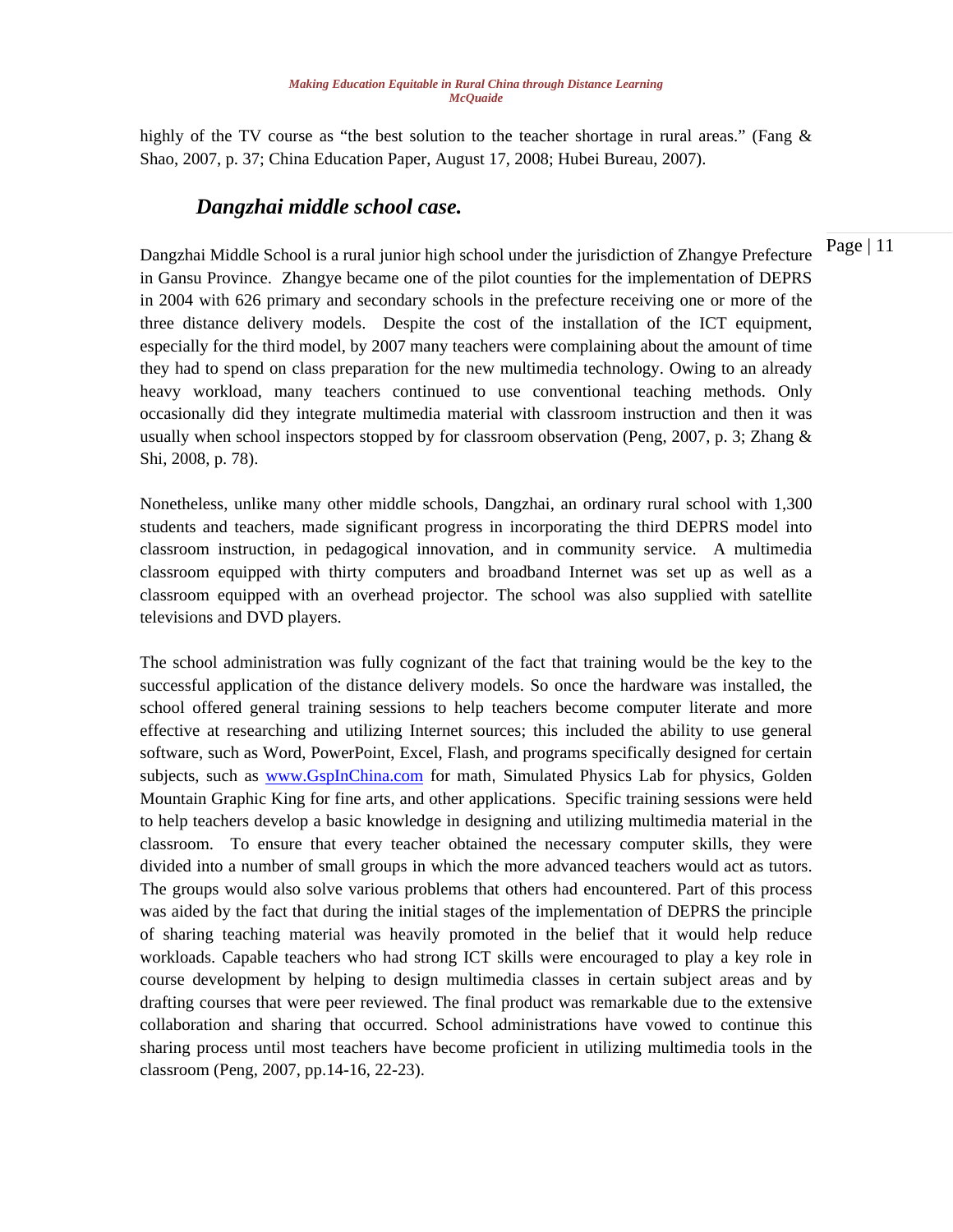highly of the TV course as "the best solution to the teacher shortage in rural areas." (Fang & Shao, 2007, p. 37; China Education Paper, August 17, 2008; Hubei Bureau, 2007).

### *Dangzhai middle school case.*

Dangzhai Middle School is a rural junior high school under the jurisdiction of Zhangye Prefecture in Gansu Province. Zhangye became one of the pilot counties for the implementation of DEPRS in 2004 with 626 primary and secondary schools in the prefecture receiving one or more of the three distance delivery models. Despite the cost of the installation of the ICT equipment, especially for the third model, by 2007 many teachers were complaining about the amount of time they had to spend on class preparation for the new multimedia technology. Owing to an already heavy workload, many teachers continued to use conventional teaching methods. Only occasionally did they integrate multimedia material with classroom instruction and then it was usually when school inspectors stopped by for classroom observation (Peng, 2007, p. 3; Zhang  $\&$ Shi, 2008, p. 78).

Nonetheless, unlike many other middle schools, Dangzhai, an ordinary rural school with 1,300 students and teachers, made significant progress in incorporating the third DEPRS model into classroom instruction, in pedagogical innovation, and in community service. A multimedia classroom equipped with thirty computers and broadband Internet was set up as well as a classroom equipped with an overhead projector. The school was also supplied with satellite televisions and DVD players.

The school administration was fully cognizant of the fact that training would be the key to the successful application of the distance delivery models. So once the hardware was installed, the school offered general training sessions to help teachers become computer literate and more effective at researching and utilizing Internet sources; this included the ability to use general software, such as Word, PowerPoint, Excel, Flash, and programs specifically designed for certain subjects, such as [www.GspInChina.com](http://www.gspinchina.com/) for math, Simulated Physics Lab for physics, Golden Mountain Graphic King for fine arts, and other applications. Specific training sessions were held to help teachers develop a basic knowledge in designing and utilizing multimedia material in the classroom. To ensure that every teacher obtained the necessary computer skills, they were divided into a number of small groups in which the more advanced teachers would act as tutors. The groups would also solve various problems that others had encountered. Part of this process was aided by the fact that during the initial stages of the implementation of DEPRS the principle of sharing teaching material was heavily promoted in the belief that it would help reduce workloads. Capable teachers who had strong ICT skills were encouraged to play a key role in course development by helping to design multimedia classes in certain subject areas and by drafting courses that were peer reviewed. The final product was remarkable due to the extensive collaboration and sharing that occurred. School administrations have vowed to continue this sharing process until most teachers have become proficient in utilizing multimedia tools in the classroom (Peng, 2007, pp.14-16, 22-23).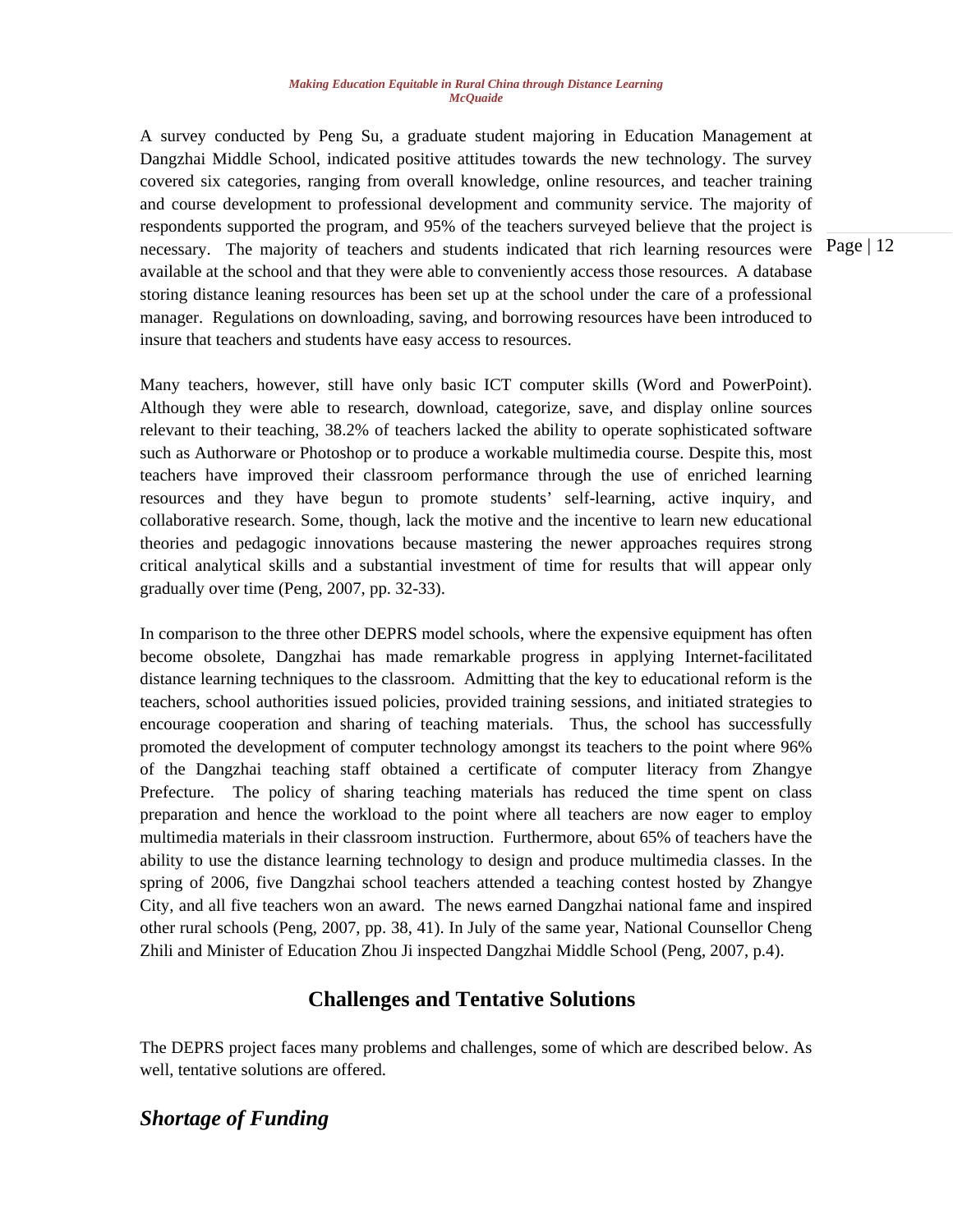necessary. The majority of teachers and students indicated that rich learning resources were Page  $\vert$  12 A survey conducted by Peng Su, a graduate student majoring in Education Management at Dangzhai Middle School, indicated positive attitudes towards the new technology. The survey covered six categories, ranging from overall knowledge, online resources, and teacher training and course development to professional development and community service. The majority of respondents supported the program, and 95% of the teachers surveyed believe that the project is available at the school and that they were able to conveniently access those resources. A database storing distance leaning resources has been set up at the school under the care of a professional manager. Regulations on downloading, saving, and borrowing resources have been introduced to insure that teachers and students have easy access to resources.

Many teachers, however, still have only basic ICT computer skills (Word and PowerPoint). Although they were able to research, download, categorize, save, and display online sources relevant to their teaching, 38.2% of teachers lacked the ability to operate sophisticated software such as Authorware or Photoshop or to produce a workable multimedia course. Despite this, most teachers have improved their classroom performance through the use of enriched learning resources and they have begun to promote students' self-learning, active inquiry, and collaborative research. Some, though, lack the motive and the incentive to learn new educational theories and pedagogic innovations because mastering the newer approaches requires strong critical analytical skills and a substantial investment of time for results that will appear only gradually over time (Peng, 2007, pp. 32-33).

In comparison to the three other DEPRS model schools, where the expensive equipment has often become obsolete, Dangzhai has made remarkable progress in applying Internet-facilitated distance learning techniques to the classroom. Admitting that the key to educational reform is the teachers, school authorities issued policies, provided training sessions, and initiated strategies to encourage cooperation and sharing of teaching materials. Thus, the school has successfully promoted the development of computer technology amongst its teachers to the point where 96% of the Dangzhai teaching staff obtained a certificate of computer literacy from Zhangye Prefecture. The policy of sharing teaching materials has reduced the time spent on class preparation and hence the workload to the point where all teachers are now eager to employ multimedia materials in their classroom instruction. Furthermore, about 65% of teachers have the ability to use the distance learning technology to design and produce multimedia classes. In the spring of 2006, five Dangzhai school teachers attended a teaching contest hosted by Zhangye City, and all five teachers won an award. The news earned Dangzhai national fame and inspired other rural schools (Peng, 2007, pp. 38, 41). In July of the same year, National Counsellor Cheng Zhili and Minister of Education Zhou Ji inspected Dangzhai Middle School (Peng, 2007, p.4).

## **Challenges and Tentative Solutions**

The DEPRS project faces many problems and challenges, some of which are described below. As well, tentative solutions are offered.

### *Shortage of Funding*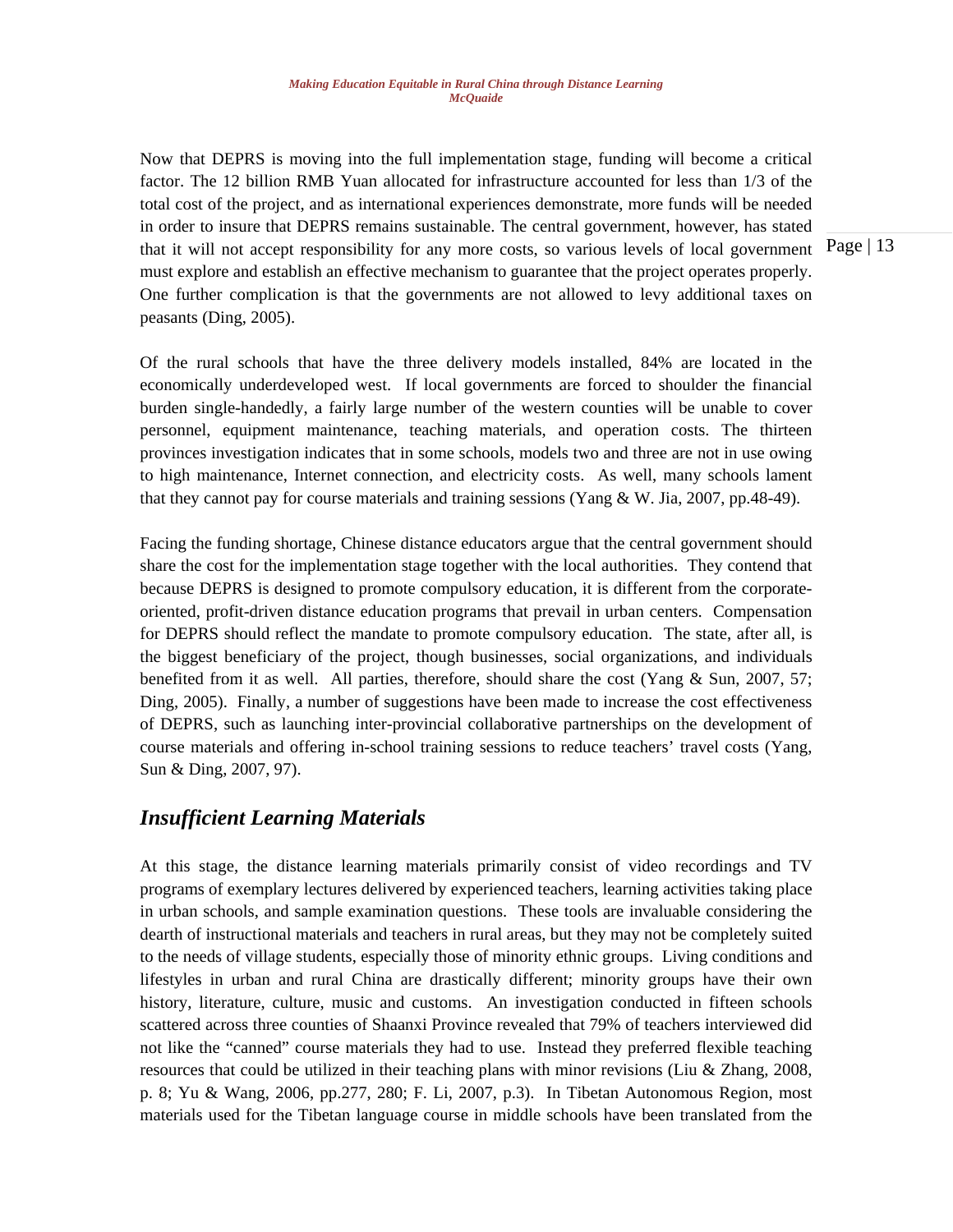that it will not accept responsibility for any more costs, so various levels of local government Page | 13 Now that DEPRS is moving into the full implementation stage, funding will become a critical factor. The 12 billion RMB Yuan allocated for infrastructure accounted for less than 1/3 of the total cost of the project, and as international experiences demonstrate, more funds will be needed in order to insure that DEPRS remains sustainable. The central government, however, has stated must explore and establish an effective mechanism to guarantee that the project operates properly. One further complication is that the governments are not allowed to levy additional taxes on peasants (Ding, 2005).

Of the rural schools that have the three delivery models installed, 84% are located in the economically underdeveloped west. If local governments are forced to shoulder the financial burden single-handedly, a fairly large number of the western counties will be unable to cover personnel, equipment maintenance, teaching materials, and operation costs. The thirteen provinces investigation indicates that in some schools, models two and three are not in use owing to high maintenance, Internet connection, and electricity costs. As well, many schools lament that they cannot pay for course materials and training sessions (Yang  $&\text{W}$ . Jia, 2007, pp.48-49).

Facing the funding shortage, Chinese distance educators argue that the central government should share the cost for the implementation stage together with the local authorities. They contend that because DEPRS is designed to promote compulsory education, it is different from the corporateoriented, profit-driven distance education programs that prevail in urban centers. Compensation for DEPRS should reflect the mandate to promote compulsory education. The state, after all, is the biggest beneficiary of the project, though businesses, social organizations, and individuals benefited from it as well. All parties, therefore, should share the cost (Yang & Sun, 2007, 57; Ding, 2005). Finally, a number of suggestions have been made to increase the cost effectiveness of DEPRS, such as launching inter-provincial collaborative partnerships on the development of course materials and offering in-school training sessions to reduce teachers' travel costs (Yang, Sun & Ding, 2007, 97).

### *Insufficient Learning Materials*

At this stage, the distance learning materials primarily consist of video recordings and TV programs of exemplary lectures delivered by experienced teachers, learning activities taking place in urban schools, and sample examination questions. These tools are invaluable considering the dearth of instructional materials and teachers in rural areas, but they may not be completely suited to the needs of village students, especially those of minority ethnic groups. Living conditions and lifestyles in urban and rural China are drastically different; minority groups have their own history, literature, culture, music and customs. An investigation conducted in fifteen schools scattered across three counties of Shaanxi Province revealed that 79% of teachers interviewed did not like the "canned" course materials they had to use. Instead they preferred flexible teaching resources that could be utilized in their teaching plans with minor revisions (Liu & Zhang, 2008, p. 8; Yu & Wang, 2006, pp.277, 280; F. Li, 2007, p.3). In Tibetan Autonomous Region, most materials used for the Tibetan language course in middle schools have been translated from the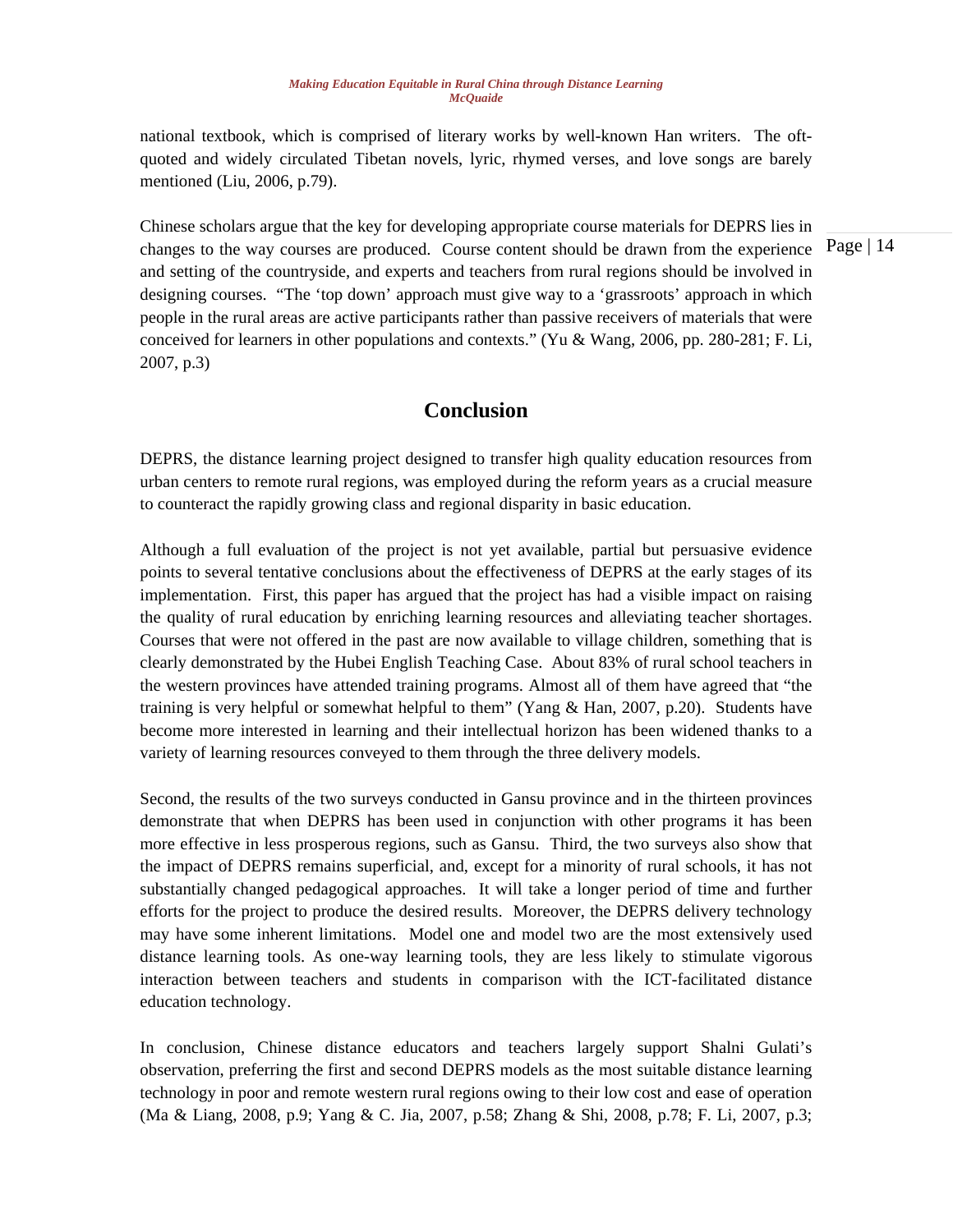national textbook, which is comprised of literary works by well-known Han writers. The oftquoted and widely circulated Tibetan novels, lyric, rhymed verses, and love songs are barely mentioned (Liu, 2006, p.79).

changes to the way courses are produced. Course content should be drawn from the experience Page  $\vert$  14 Chinese scholars argue that the key for developing appropriate course materials for DEPRS lies in and setting of the countryside, and experts and teachers from rural regions should be involved in designing courses. "The 'top down' approach must give way to a 'grassroots' approach in which people in the rural areas are active participants rather than passive receivers of materials that were conceived for learners in other populations and contexts." (Yu & Wang, 2006, pp. 280-281; F. Li, 2007, p.3)

## **Conclusion**

DEPRS, the distance learning project designed to transfer high quality education resources from urban centers to remote rural regions, was employed during the reform years as a crucial measure to counteract the rapidly growing class and regional disparity in basic education.

Although a full evaluation of the project is not yet available, partial but persuasive evidence points to several tentative conclusions about the effectiveness of DEPRS at the early stages of its implementation. First, this paper has argued that the project has had a visible impact on raising the quality of rural education by enriching learning resources and alleviating teacher shortages. Courses that were not offered in the past are now available to village children, something that is clearly demonstrated by the Hubei English Teaching Case. About 83% of rural school teachers in the western provinces have attended training programs. Almost all of them have agreed that "the training is very helpful or somewhat helpful to them" (Yang & Han, 2007, p.20). Students have become more interested in learning and their intellectual horizon has been widened thanks to a variety of learning resources conveyed to them through the three delivery models.

Second, the results of the two surveys conducted in Gansu province and in the thirteen provinces demonstrate that when DEPRS has been used in conjunction with other programs it has been more effective in less prosperous regions, such as Gansu. Third, the two surveys also show that the impact of DEPRS remains superficial, and, except for a minority of rural schools, it has not substantially changed pedagogical approaches. It will take a longer period of time and further efforts for the project to produce the desired results. Moreover, the DEPRS delivery technology may have some inherent limitations. Model one and model two are the most extensively used distance learning tools. As one-way learning tools, they are less likely to stimulate vigorous interaction between teachers and students in comparison with the ICT-facilitated distance education technology.

In conclusion, Chinese distance educators and teachers largely support Shalni Gulati's observation, preferring the first and second DEPRS models as the most suitable distance learning technology in poor and remote western rural regions owing to their low cost and ease of operation (Ma & Liang, 2008, p.9; Yang & C. Jia, 2007, p.58; Zhang & Shi, 2008, p.78; F. Li, 2007, p.3;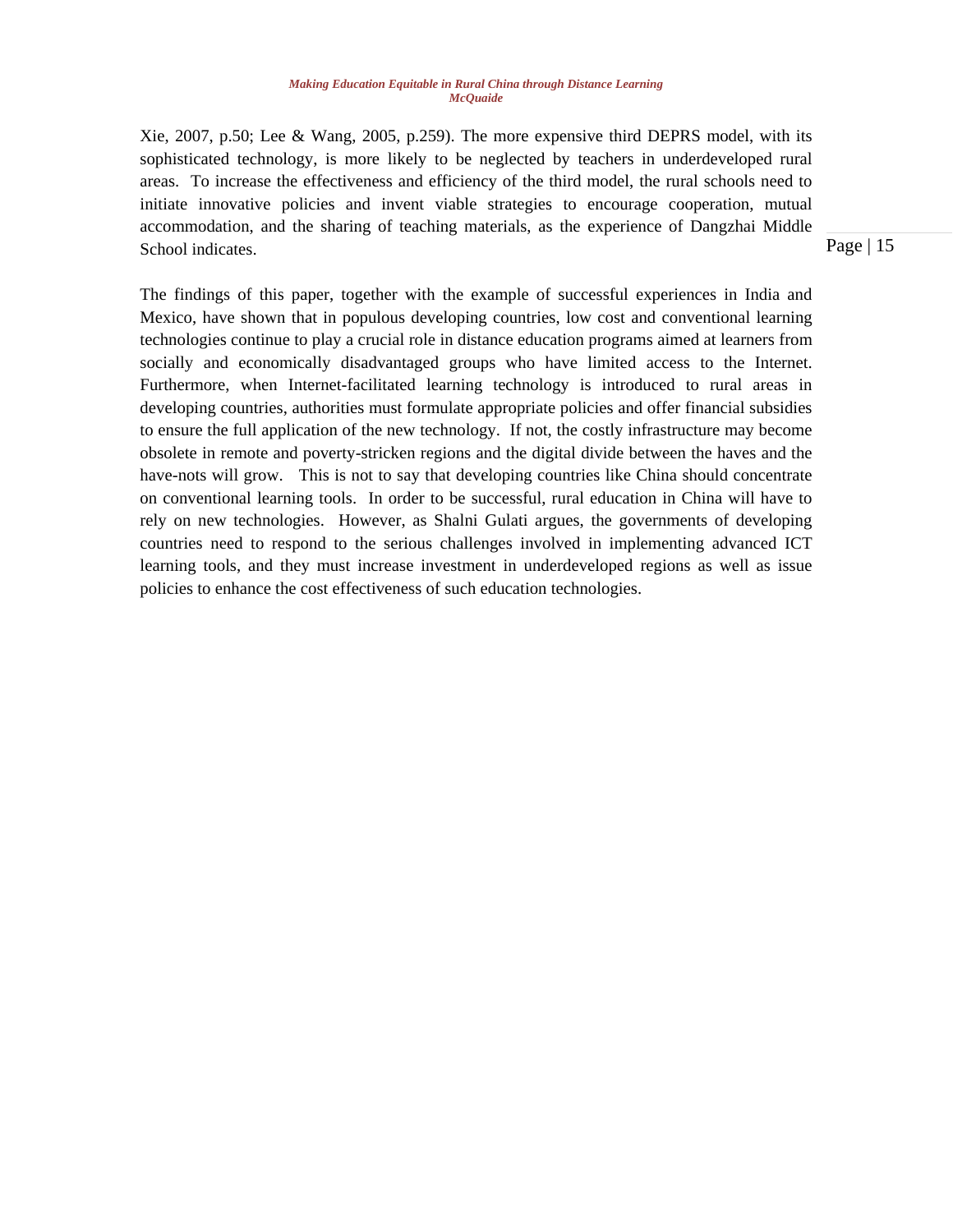Xie, 2007, p.50; Lee & Wang, 2005, p.259). The more expensive third DEPRS model, with its sophisticated technology, is more likely to be neglected by teachers in underdeveloped rural areas. To increase the effectiveness and efficiency of the third model, the rural schools need to initiate innovative policies and invent viable strategies to encourage cooperation, mutual accommodation, and the sharing of teaching materials, as the experience of Dangzhai Middle School indicates.

Page | 15

The findings of this paper, together with the example of successful experiences in India and Mexico, have shown that in populous developing countries, low cost and conventional learning technologies continue to play a crucial role in distance education programs aimed at learners from socially and economically disadvantaged groups who have limited access to the Internet. Furthermore, when Internet-facilitated learning technology is introduced to rural areas in developing countries, authorities must formulate appropriate policies and offer financial subsidies to ensure the full application of the new technology. If not, the costly infrastructure may become obsolete in remote and poverty-stricken regions and the digital divide between the haves and the have-nots will grow. This is not to say that developing countries like China should concentrate on conventional learning tools. In order to be successful, rural education in China will have to rely on new technologies. However, as Shalni Gulati argues, the governments of developing countries need to respond to the serious challenges involved in implementing advanced ICT learning tools, and they must increase investment in underdeveloped regions as well as issue policies to enhance the cost effectiveness of such education technologies.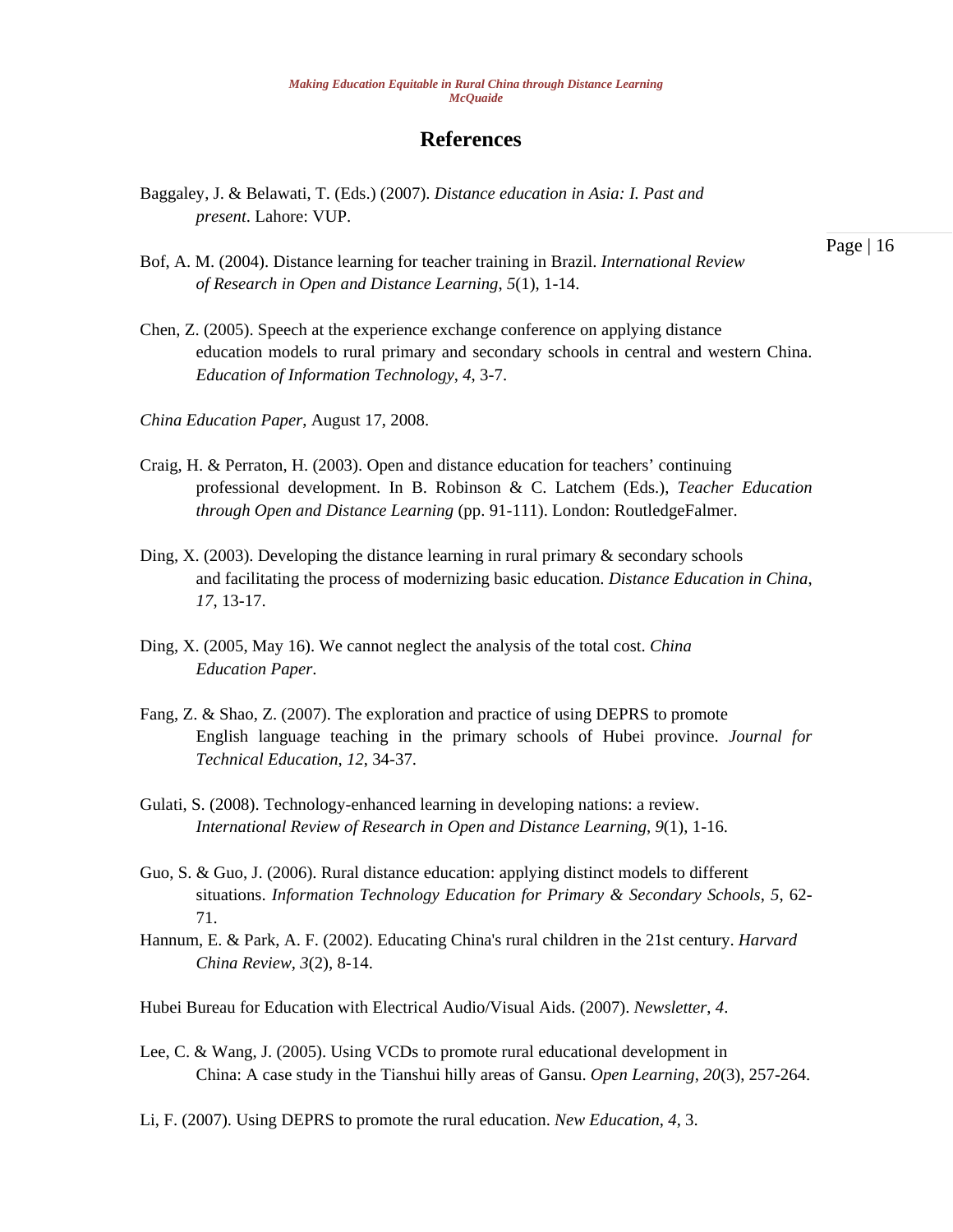### **References**

- Baggaley, J. & Belawati, T. (Eds.) (2007). *Distance education in Asia: I. Past and present*. Lahore: VUP.
- Bof, A. M. (2004). Distance learning for teacher training in Brazil. *International Review of Research in Open and Distance Learning*, *5*(1), 1-14.
- Chen, Z. (2005). Speech at the experience exchange conference on applying distance education models to rural primary and secondary schools in central and western China. *Education of Information Technology*, *4*, 3-7.
- *China Education Paper*, August 17, 2008.
- Craig, H. & Perraton, H. (2003). Open and distance education for teachers' continuing professional development. In B. Robinson & C. Latchem (Eds.), *Teacher Education through Open and Distance Learning* (pp. 91-111). London: RoutledgeFalmer.
- Ding, X. (2003). Developing the distance learning in rural primary  $\&$  secondary schools and facilitating the process of modernizing basic education. *Distance Education in China*, *17*, 13-17.
- Ding, X. (2005, May 16). We cannot neglect the analysis of the total cost. *China Education Paper*.
- Fang, Z. & Shao, Z. (2007). The exploration and practice of using DEPRS to promote English language teaching in the primary schools of Hubei province. *Journal for Technical Education*, *12*, 34-37.
- Gulati, S. (2008). Technology-enhanced learning in developing nations: a review. *International Review of Research in Open and Distance Learning*, *9*(1), 1-16.
- Guo, S. & Guo, J. (2006). Rural distance education: applying distinct models to different situations. *Information Technology Education for Primary & Secondary Schools*, *5*, 62- 71.
- Hannum, E. & Park, A. F. (2002). Educating China's rural children in the 21st century. *Harvard China Review*, *3*(2), 8-14.

Hubei Bureau for Education with Electrical Audio/Visual Aids. (2007). *Newsletter*, *4*.

Lee, C. & Wang, J. (2005). Using VCDs to promote rural educational development in China: A case study in the Tianshui hilly areas of Gansu. *Open Learning*, *20*(3), 257-264.

Li, F. (2007). Using DEPRS to promote the rural education. *New Education*, *4*, 3.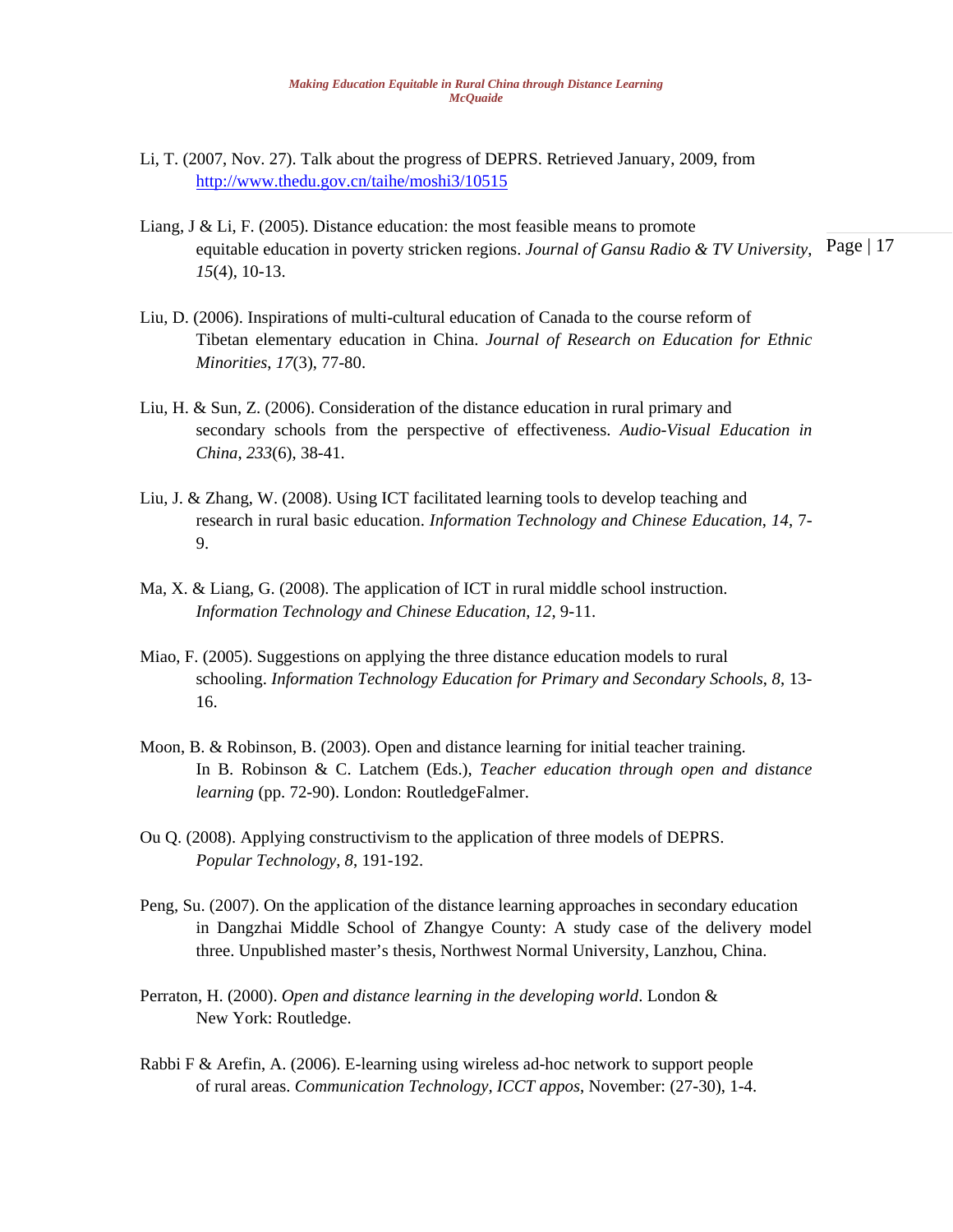- Li, T. (2007, Nov. 27). Talk about the progress of DEPRS. Retrieved January, 2009, from <http://www.thedu.gov.cn/taihe/moshi3/10515>
- equitable education in poverty stricken regions. *Journal of Gansu Radio & TV University*, Page | 17 Liang, J & Li, F. (2005). Distance education: the most feasible means to promote *15*(4), 10-13.
- Liu, D. (2006). Inspirations of multi-cultural education of Canada to the course reform of Tibetan elementary education in China. *Journal of Research on Education for Ethnic Minorities*, *17*(3), 77-80.
- Liu, H. & Sun, Z. (2006). Consideration of the distance education in rural primary and secondary schools from the perspective of effectiveness. *Audio-Visual Education in China*, *233*(6), 38-41.
- Liu, J. & Zhang, W. (2008). Using ICT facilitated learning tools to develop teaching and research in rural basic education. *Information Technology and Chinese Education*, *14*, 7- 9.
- Ma, X. & Liang, G. (2008). The application of ICT in rural middle school instruction. *Information Technology and Chinese Education*, *12*, 9-11.
- Miao, F. (2005). Suggestions on applying the three distance education models to rural schooling. *Information Technology Education for Primary and Secondary Schools*, *8*, 13- 16.
- Moon, B. & Robinson, B. (2003). Open and distance learning for initial teacher training. In B. Robinson & C. Latchem (Eds.), *Teacher education through open and distance learning* (pp. 72-90). London: RoutledgeFalmer.
- Ou Q. (2008). Applying constructivism to the application of three models of DEPRS. *Popular Technology*, *8*, 191-192.
- Peng, Su. (2007). On the application of the distance learning approaches in secondary education in Dangzhai Middle School of Zhangye County: A study case of the delivery model three. Unpublished master's thesis, Northwest Normal University, Lanzhou, China.
- Perraton, H. (2000). *Open and distance learning in the developing world*. London & New York: Routledge.
- Rabbi F & Arefin, A. (2006). E-learning using wireless ad-hoc network to support people of rural areas. *Communication Technology, ICCT appos*, November: (27-30), 1-4.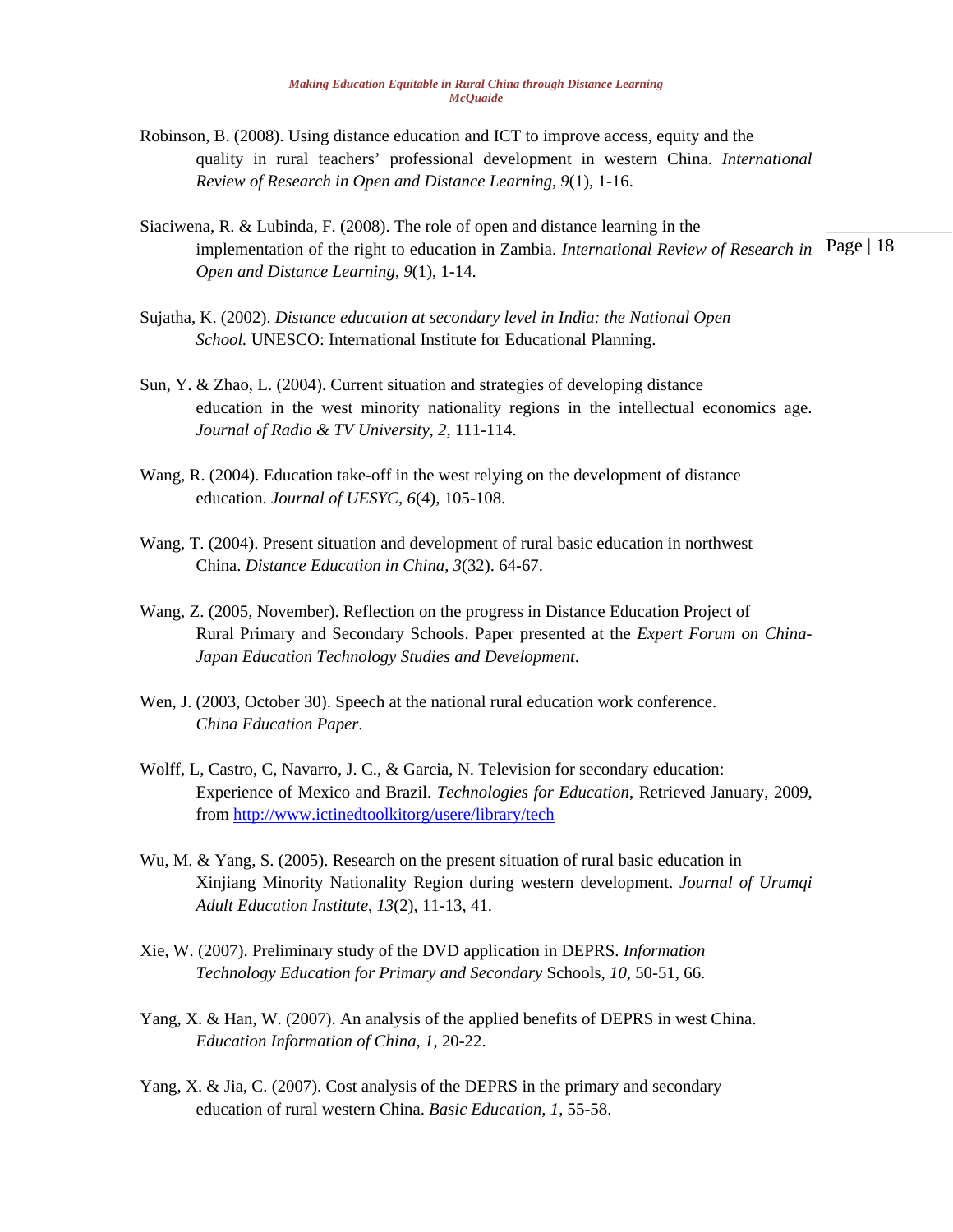- Robinson, B. (2008). Using distance education and ICT to improve access, equity and the quality in rural teachers' professional development in western China. *International Review of Research in Open and Distance Learning*, *9*(1), 1-16.
- implementation of the right to education in Zambia. *International Review of Research in* Page  $\vert$  18 Siaciwena, R. & Lubinda, F. (2008). The role of open and distance learning in the *Open and Distance Learning*, *9*(1), 1-14.
- Sujatha, K. (2002). *Distance education at secondary level in India: the National Open School.* UNESCO: International Institute for Educational Planning.
- Sun, Y. & Zhao, L. (2004). Current situation and strategies of developing distance education in the west minority nationality regions in the intellectual economics age. *Journal of Radio & TV University*, *2*, 111-114.
- Wang, R. (2004). Education take-off in the west relying on the development of distance education. *Journal of UESYC*, *6*(4), 105-108.
- Wang, T. (2004). Present situation and development of rural basic education in northwest China. *Distance Education in China*, *3*(32). 64-67.
- Wang, Z. (2005, November). Reflection on the progress in Distance Education Project of Rural Primary and Secondary Schools. Paper presented at the *Expert Forum on China-Japan Education Technology Studies and Development*.
- Wen, J. (2003, October 30). Speech at the national rural education work conference. *China Education Paper*.
- Wolff, L, Castro, C, Navarro, J. C., & Garcia, N. Television for secondary education: Experience of Mexico and Brazil. *Technologies for Education*, Retrieved January, 2009, from<http://www.ictinedtoolkitorg/usere/library/tech>
- Wu, M. & Yang, S. (2005). Research on the present situation of rural basic education in Xinjiang Minority Nationality Region during western development. *Journal of Urumqi Adult Education Institute*, *13*(2), 11-13, 41.
- Xie, W. (2007). Preliminary study of the DVD application in DEPRS. *Information Technology Education for Primary and Secondary* Schools, *10*, 50-51, 66.
- Yang, X. & Han, W. (2007). An analysis of the applied benefits of DEPRS in west China. *Education Information of China*, *1*, 20-22.
- Yang, X. & Jia, C. (2007). Cost analysis of the DEPRS in the primary and secondary education of rural western China. *Basic Education*, *1*, 55-58.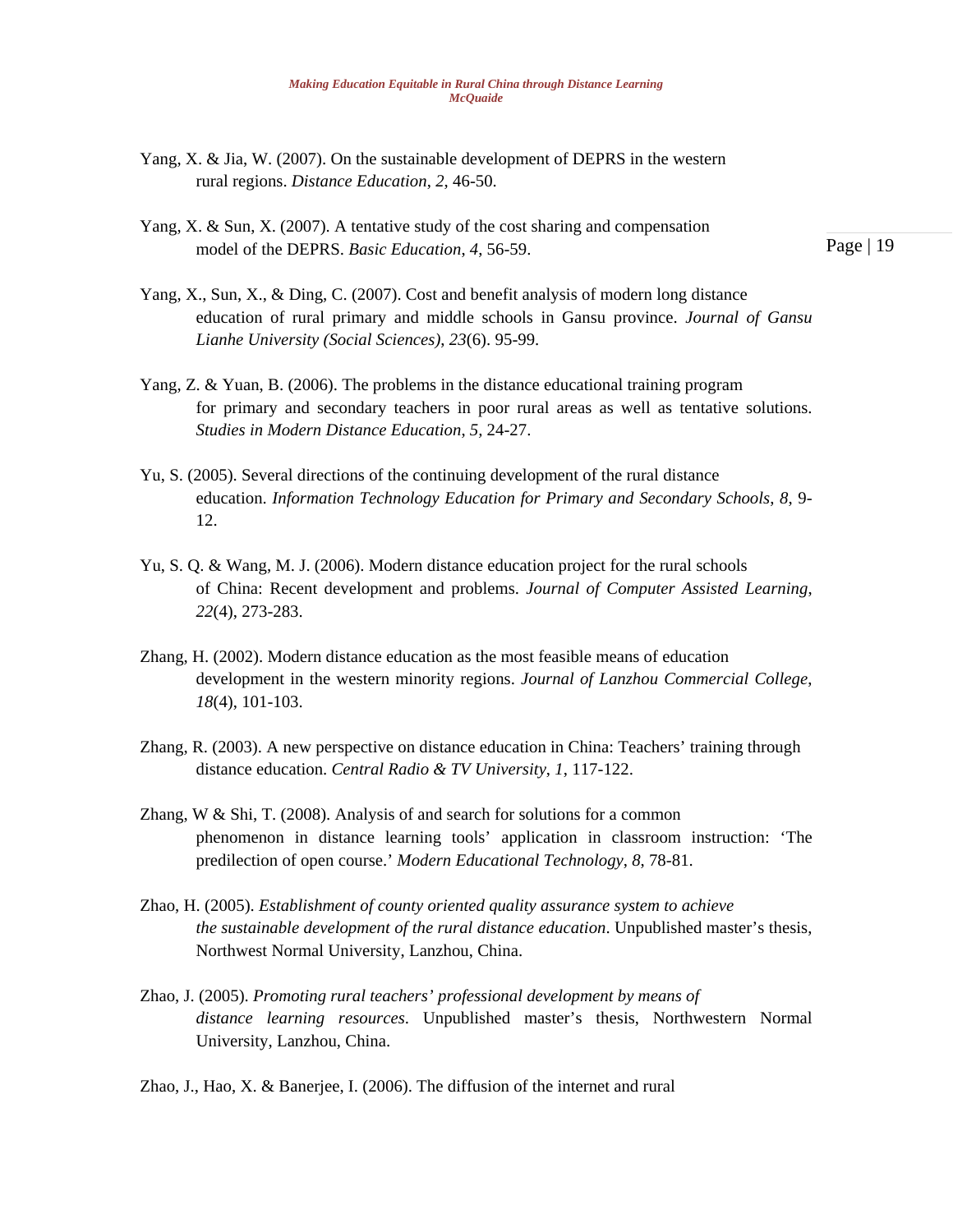- Yang, X. & Jia, W. (2007). On the sustainable development of DEPRS in the western rural regions. *Distance Education*, *2*, 46-50.
- Yang, X. & Sun, X. (2007). A tentative study of the cost sharing and compensation model of the DEPRS. *Basic Education*, *4*, 56-59.
- Yang, X., Sun, X., & Ding, C. (2007). Cost and benefit analysis of modern long distance education of rural primary and middle schools in Gansu province. *Journal of Gansu Lianhe University (Social Sciences)*, *23*(6). 95-99.
- Yang, Z. & Yuan, B. (2006). The problems in the distance educational training program for primary and secondary teachers in poor rural areas as well as tentative solutions. *Studies in Modern Distance Education*, *5,* 24-27.
- Yu, S. (2005). Several directions of the continuing development of the rural distance education. *Information Technology Education for Primary and Secondary Schools*, *8*, 9- 12.
- Yu, S. Q. & Wang, M. J. (2006). Modern distance education project for the rural schools of China: Recent development and problems. *Journal of Computer Assisted Learning*, *22*(4), 273-283.
- Zhang, H. (2002). Modern distance education as the most feasible means of education development in the western minority regions. *Journal of Lanzhou Commercial College*, *18*(4), 101-103.
- Zhang, R. (2003). A new perspective on distance education in China: Teachers' training through distance education. *Central Radio & TV University*, *1*, 117-122.
- Zhang, W & Shi, T. (2008). Analysis of and search for solutions for a common phenomenon in distance learning tools' application in classroom instruction: 'The predilection of open course.' *Modern Educational Technology*, *8*, 78-81.
- Zhao, H. (2005). *Establishment of county oriented quality assurance system to achieve the sustainable development of the rural distance education*. Unpublished master's thesis, Northwest Normal University, Lanzhou, China.
- Zhao, J. (2005). *Promoting rural teachers' professional development by means of distance learning resources*. Unpublished master's thesis, Northwestern Normal University, Lanzhou, China.
- Zhao, J., Hao, X. & Banerjee, I. (2006). The diffusion of the internet and rural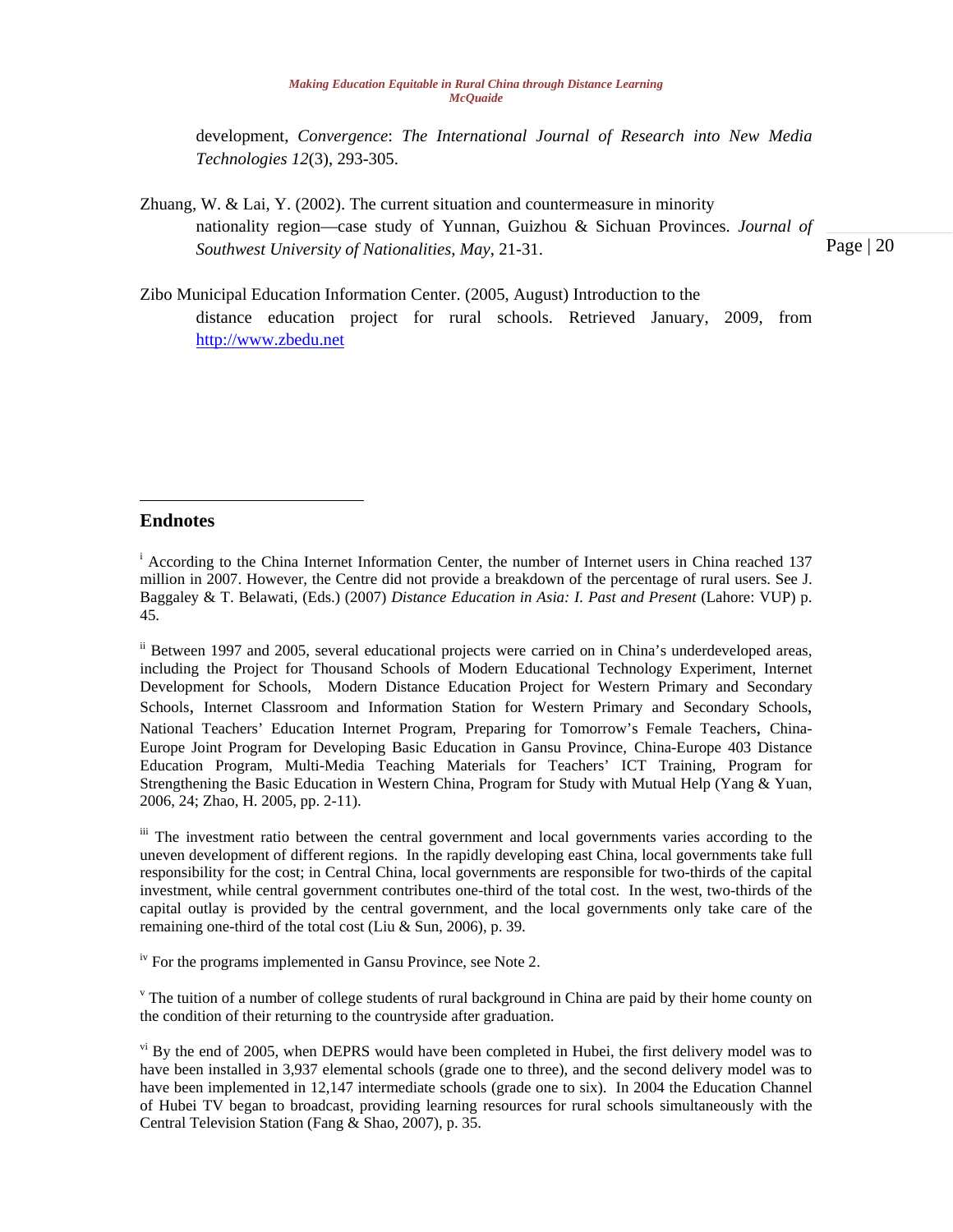development, *Convergence*: *The International Journal of Research into New Media Technologies 12*(3), 293-305.

- <span id="page-19-1"></span>Page | 20 Zhuang, W. & Lai, Y. (2002). The current situation and countermeasure in minority nationality region—case study of Yunnan, Guizhou & Sichuan Provinces. *Journal of Southwest University of Nationalities*, *May*, 21-31.
- Zibo Municipal Education Information Center. (2005, August) Introduction to the distance education project for rural schools. Retrieved January, 2009, from [http://www.zbedu.net](http://www.zbedu.net/)

#### <span id="page-19-0"></span>**Endnotes**

 $\overline{a}$ 

<sup>i</sup> According to the China Internet Information Center, the number of Internet users in China reached 137 million in 2007. However, the Centre did not provide a breakdown of the percentage of rural users. See J. Baggaley & T. Belawati, (Eds.) (2007) *Distance Education in Asia: I. Past and Present* (Lahore: VUP) p. 45.

<sup>ii</sup> Between 1997 and 2005, several educational projects were carried on in China's underdeveloped areas, including the Project for Thousand Schools of Modern Educational Technology Experiment, Internet Development for Schools, Modern Distance Education Project for Western Primary and Secondary Schools, Internet Classroom and Information Station for Western Primary and Secondary Schools, National Teachers' Education Internet Program, Preparing for Tomorrow's Female Teachers, China-Europe Joint Program for Developing Basic Education in Gansu Province, China-Europe 403 Distance Education Program, Multi-Media Teaching Materials for Teachers' ICT Training, Program for Strengthening the Basic Education in Western China, Program for Study with Mutual Help (Yang & Yuan, 2006, 24; Zhao, H. 2005, pp. 2-11).

iii The investment ratio between the central government and local governments varies according to the uneven development of different regions. In the rapidly developing east China, local governments take full responsibility for the cost; in Central China, local governments are responsible for two-thirds of the capital investment, while central government contributes one-third of the total cost. In the west, two-thirds of the capital outlay is provided by the central government, and the local governments only take care of the remaining one-third of the total cost (Liu & Sun, 2006), p. 39.

<sup>iv</sup> For the programs implemented in Gansu Province, see Note 2.

<sup>v</sup> The tuition of a number of college students of rural background in China are paid by their home county on the condition of their returning to the countryside after graduation.

<sup>vi</sup> By the end of 2005, when DEPRS would have been completed in Hubei, the first delivery model was to have been installed in 3,937 elemental schools (grade one to three), and the second delivery model was to have been implemented in 12,147 intermediate schools (grade one to six). In 2004 the Education Channel of Hubei TV began to broadcast, providing learning resources for rural schools simultaneously with the Central Television Station (Fang & Shao, 2007), p. 35.